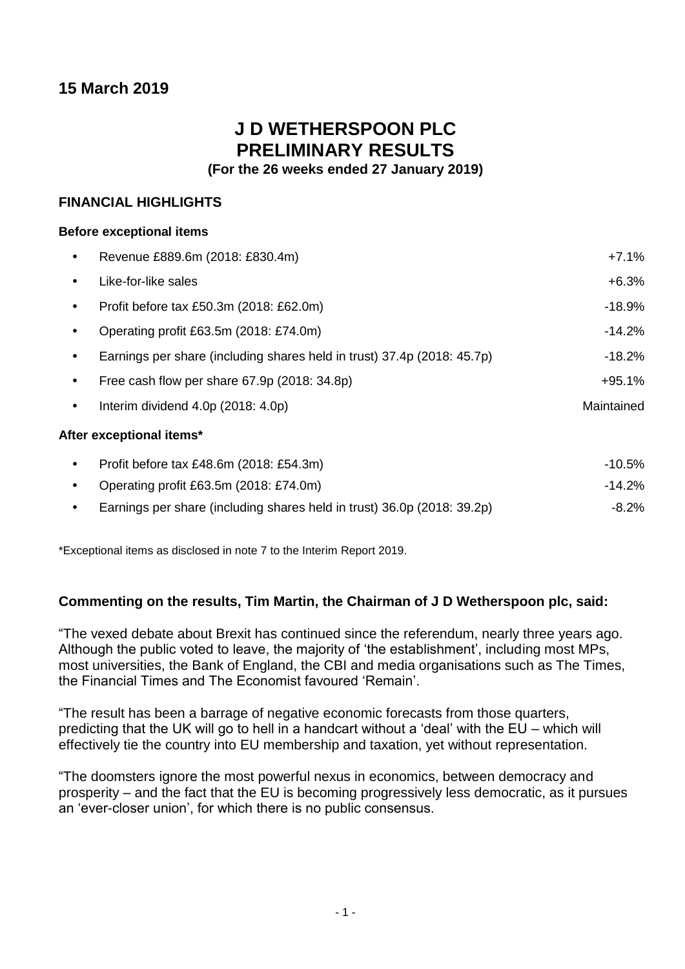# **15 March 2019**

# **J D WETHERSPOON PLC PRELIMINARY RESULTS**

**(For the 26 weeks ended 27 January 2019)**

# **FINANCIAL HIGHLIGHTS**

# **Before exceptional items**

|           | Revenue £889.6m (2018: £830.4m)                                         | $+7.1%$    |
|-----------|-------------------------------------------------------------------------|------------|
| $\bullet$ | Like-for-like sales                                                     | $+6.3%$    |
| $\bullet$ | Profit before tax £50.3m (2018: £62.0m)                                 | $-18.9%$   |
| $\bullet$ | Operating profit £63.5m (2018: £74.0m)                                  | $-14.2%$   |
| $\bullet$ | Earnings per share (including shares held in trust) 37.4p (2018: 45.7p) | $-18.2%$   |
| $\bullet$ | Free cash flow per share 67.9p (2018: 34.8p)                            | $+95.1%$   |
| $\bullet$ | Interim dividend $4.0p$ (2018: $4.0p$ )                                 | Maintained |
|           | After exceptional items*                                                |            |
| $\bullet$ | Profit before tax £48.6m (2018: £54.3m)                                 | $-10.5%$   |
|           | Operating profit £63.5m (2018: £74.0m)                                  | $-14.2%$   |

Earnings per share (including shares held in trust) 36.0p (2018: 39.2p)  $\qquad \qquad$ -8.2%

\*Exceptional items as disclosed in note 7 to the Interim Report 2019.

# **Commenting on the results, Tim Martin, the Chairman of J D Wetherspoon plc, said:**

"The vexed debate about Brexit has continued since the referendum, nearly three years ago. Although the public voted to leave, the majority of 'the establishment', including most MPs, most universities, the Bank of England, the CBI and media organisations such as The Times, the Financial Times and The Economist favoured 'Remain'.

"The result has been a barrage of negative economic forecasts from those quarters, predicting that the UK will go to hell in a handcart without a 'deal' with the EU – which will effectively tie the country into EU membership and taxation, yet without representation.

"The doomsters ignore the most powerful nexus in economics, between democracy and prosperity – and the fact that the EU is becoming progressively less democratic, as it pursues an 'ever-closer union', for which there is no public consensus.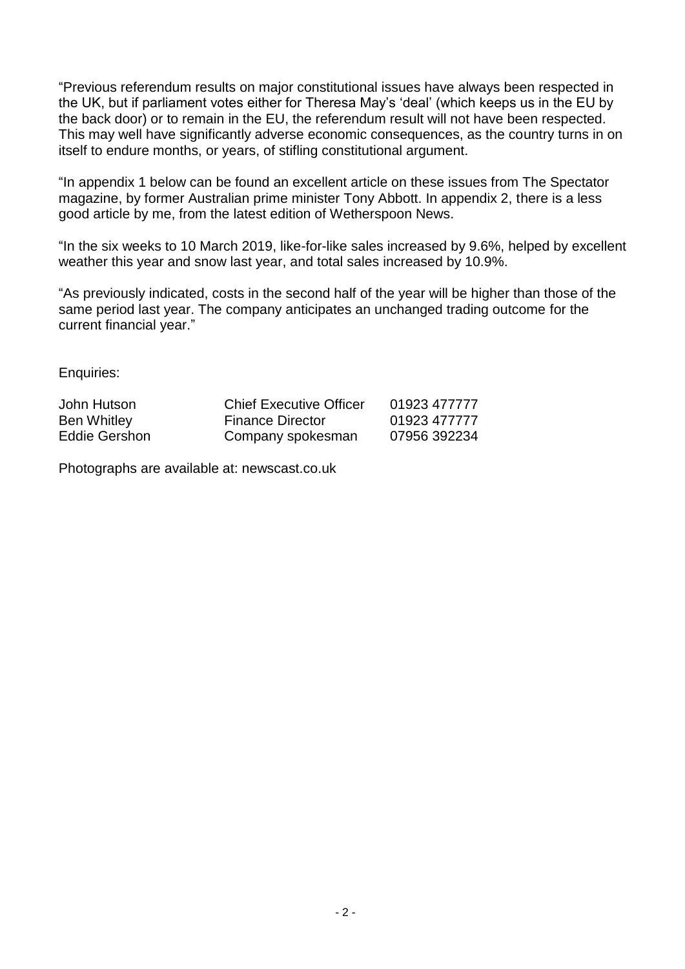"Previous referendum results on major constitutional issues have always been respected in the UK, but if parliament votes either for Theresa May's 'deal' (which keeps us in the EU by the back door) or to remain in the EU, the referendum result will not have been respected. This may well have significantly adverse economic consequences, as the country turns in on itself to endure months, or years, of stifling constitutional argument.

"In appendix 1 below can be found an excellent article on these issues from The Spectator magazine, by former Australian prime minister Tony Abbott. In appendix 2, there is a less good article by me, from the latest edition of Wetherspoon News.

"In the six weeks to 10 March 2019, like-for-like sales increased by 9.6%, helped by excellent weather this year and snow last year, and total sales increased by 10.9%.

"As previously indicated, costs in the second half of the year will be higher than those of the same period last year. The company anticipates an unchanged trading outcome for the current financial year."

Enquiries:

| John Hutson        | <b>Chief Executive Officer</b> | 01923 477777 |
|--------------------|--------------------------------|--------------|
| <b>Ben Whitley</b> | <b>Finance Director</b>        | 01923 477777 |
| Eddie Gershon      | Company spokesman              | 07956 392234 |

Photographs are available at: newscast.co.uk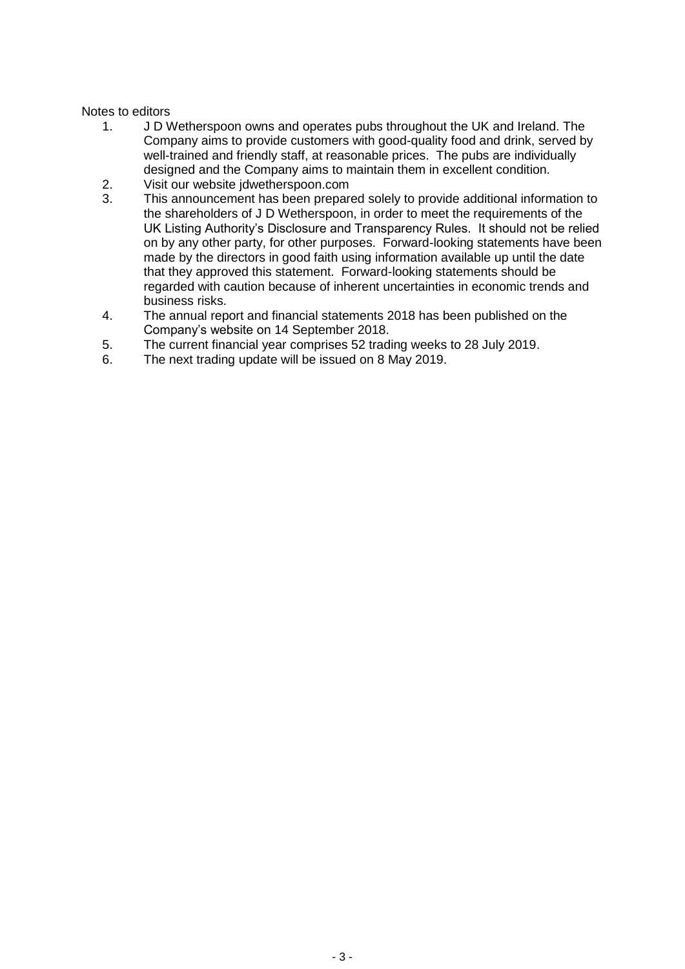# Notes to editors

- 1. J D Wetherspoon owns and operates pubs throughout the UK and Ireland. The Company aims to provide customers with good-quality food and drink, served by well-trained and friendly staff, at reasonable prices. The pubs are individually designed and the Company aims to maintain them in excellent condition.
- 2. Visit our website jdwetherspoon.com
- 3. This announcement has been prepared solely to provide additional information to the shareholders of J D Wetherspoon, in order to meet the requirements of the UK Listing Authority's Disclosure and Transparency Rules. It should not be relied on by any other party, for other purposes. Forward-looking statements have been made by the directors in good faith using information available up until the date that they approved this statement. Forward-looking statements should be regarded with caution because of inherent uncertainties in economic trends and business risks.
- 4. The annual report and financial statements 2018 has been published on the Company's website on 14 September 2018.
- 5. The current financial year comprises 52 trading weeks to 28 July 2019.
- 6. The next trading update will be issued on 8 May 2019.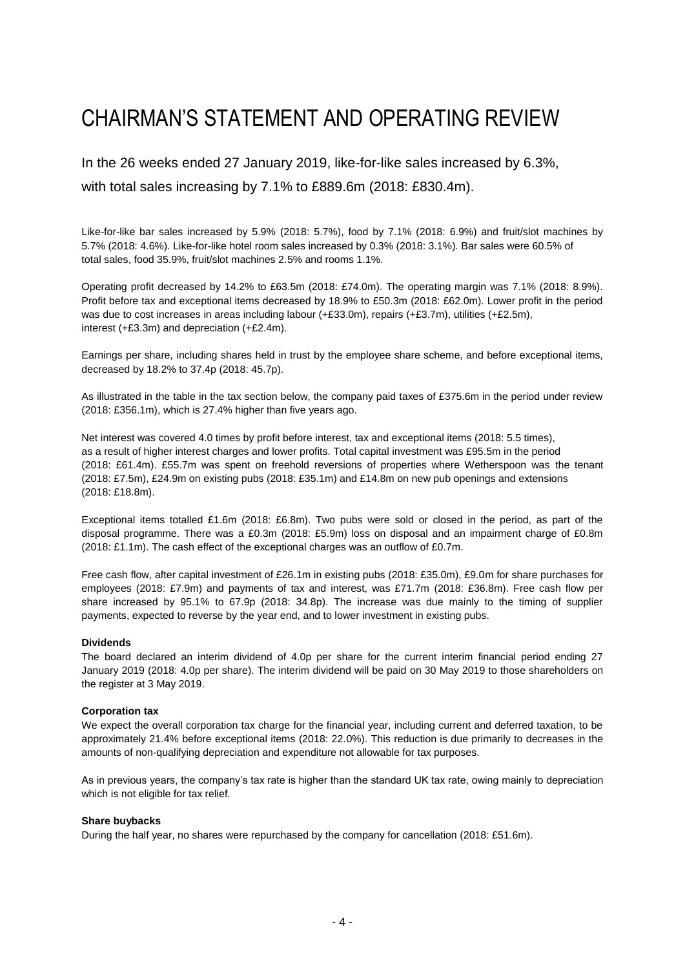# CHAIRMAN'S STATEMENT AND OPERATING REVIEW

In the 26 weeks ended 27 January 2019, like-for-like sales increased by 6.3%, with total sales increasing by 7.1% to £889.6m (2018: £830.4m).

Like-for-like bar sales increased by 5.9% (2018: 5.7%), food by 7.1% (2018: 6.9%) and fruit/slot machines by 5.7% (2018: 4.6%). Like-for-like hotel room sales increased by 0.3% (2018: 3.1%). Bar sales were 60.5% of total sales, food 35.9%, fruit/slot machines 2.5% and rooms 1.1%.

Operating profit decreased by 14.2% to £63.5m (2018: £74.0m). The operating margin was 7.1% (2018: 8.9%). Profit before tax and exceptional items decreased by 18.9% to £50.3m (2018: £62.0m). Lower profit in the period was due to cost increases in areas including labour (+£33.0m), repairs (+£3.7m), utilities (+£2.5m), interest (+£3.3m) and depreciation (+£2.4m).

Earnings per share, including shares held in trust by the employee share scheme, and before exceptional items, decreased by 18.2% to 37.4p (2018: 45.7p).

As illustrated in the table in the tax section below, the company paid taxes of £375.6m in the period under review (2018: £356.1m), which is 27.4% higher than five years ago.

Net interest was covered 4.0 times by profit before interest, tax and exceptional items (2018: 5.5 times), as a result of higher interest charges and lower profits. Total capital investment was £95.5m in the period (2018: £61.4m). £55.7m was spent on freehold reversions of properties where Wetherspoon was the tenant (2018: £7.5m), £24.9m on existing pubs (2018: £35.1m) and £14.8m on new pub openings and extensions (2018: £18.8m).

Exceptional items totalled £1.6m (2018: £6.8m). Two pubs were sold or closed in the period, as part of the disposal programme. There was a £0.3m (2018: £5.9m) loss on disposal and an impairment charge of £0.8m (2018: £1.1m). The cash effect of the exceptional charges was an outflow of £0.7m.

Free cash flow, after capital investment of £26.1m in existing pubs (2018: £35.0m), £9.0m for share purchases for employees (2018: £7.9m) and payments of tax and interest, was £71.7m (2018: £36.8m). Free cash flow per share increased by 95.1% to 67.9p (2018: 34.8p). The increase was due mainly to the timing of supplier payments, expected to reverse by the year end, and to lower investment in existing pubs.

# **Dividends**

The board declared an interim dividend of 4.0p per share for the current interim financial period ending 27 January 2019 (2018: 4.0p per share). The interim dividend will be paid on 30 May 2019 to those shareholders on the register at 3 May 2019.

# **Corporation tax**

We expect the overall corporation tax charge for the financial year, including current and deferred taxation, to be approximately 21.4% before exceptional items (2018: 22.0%). This reduction is due primarily to decreases in the amounts of non-qualifying depreciation and expenditure not allowable for tax purposes.

As in previous years, the company's tax rate is higher than the standard UK tax rate, owing mainly to depreciation which is not eligible for tax relief.

# **Share buybacks**

During the half year, no shares were repurchased by the company for cancellation (2018: £51.6m).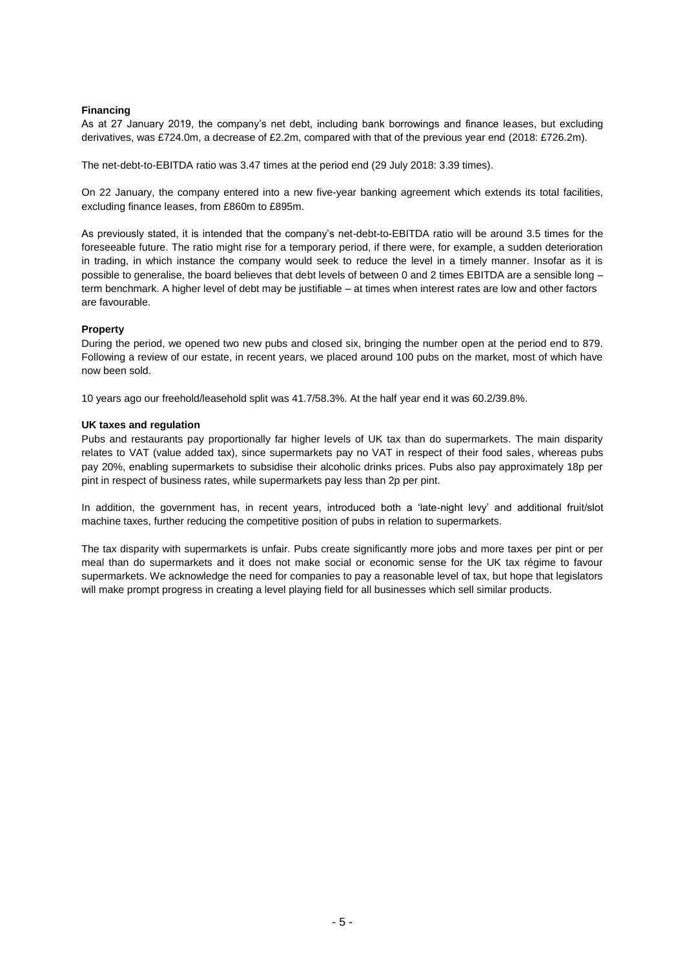# **Financing**

As at 27 January 2019, the company's net debt, including bank borrowings and finance leases, but excluding derivatives, was £724.0m, a decrease of £2.2m, compared with that of the previous year end (2018: £726.2m).

The net-debt-to-EBITDA ratio was 3.47 times at the period end (29 July 2018: 3.39 times).

On 22 January, the company entered into a new five-year banking agreement which extends its total facilities, excluding finance leases, from £860m to £895m.

As previously stated, it is intended that the company's net-debt-to-EBITDA ratio will be around 3.5 times for the foreseeable future. The ratio might rise for a temporary period, if there were, for example, a sudden deterioration in trading, in which instance the company would seek to reduce the level in a timely manner. Insofar as it is possible to generalise, the board believes that debt levels of between 0 and 2 times EBITDA are a sensible long – term benchmark. A higher level of debt may be justifiable – at times when interest rates are low and other factors are favourable.

# **Property**

During the period, we opened two new pubs and closed six, bringing the number open at the period end to 879. Following a review of our estate, in recent years, we placed around 100 pubs on the market, most of which have now been sold.

10 years ago our freehold/leasehold split was 41.7/58.3%. At the half year end it was 60.2/39.8%.

# **UK taxes and regulation**

Pubs and restaurants pay proportionally far higher levels of UK tax than do supermarkets. The main disparity relates to VAT (value added tax), since supermarkets pay no VAT in respect of their food sales, whereas pubs pay 20%, enabling supermarkets to subsidise their alcoholic drinks prices. Pubs also pay approximately 18p per pint in respect of business rates, while supermarkets pay less than 2p per pint.

In addition, the government has, in recent years, introduced both a 'late-night levy' and additional fruit/slot machine taxes, further reducing the competitive position of pubs in relation to supermarkets.

The tax disparity with supermarkets is unfair. Pubs create significantly more jobs and more taxes per pint or per meal than do supermarkets and it does not make social or economic sense for the UK tax régime to favour supermarkets. We acknowledge the need for companies to pay a reasonable level of tax, but hope that legislators will make prompt progress in creating a level playing field for all businesses which sell similar products.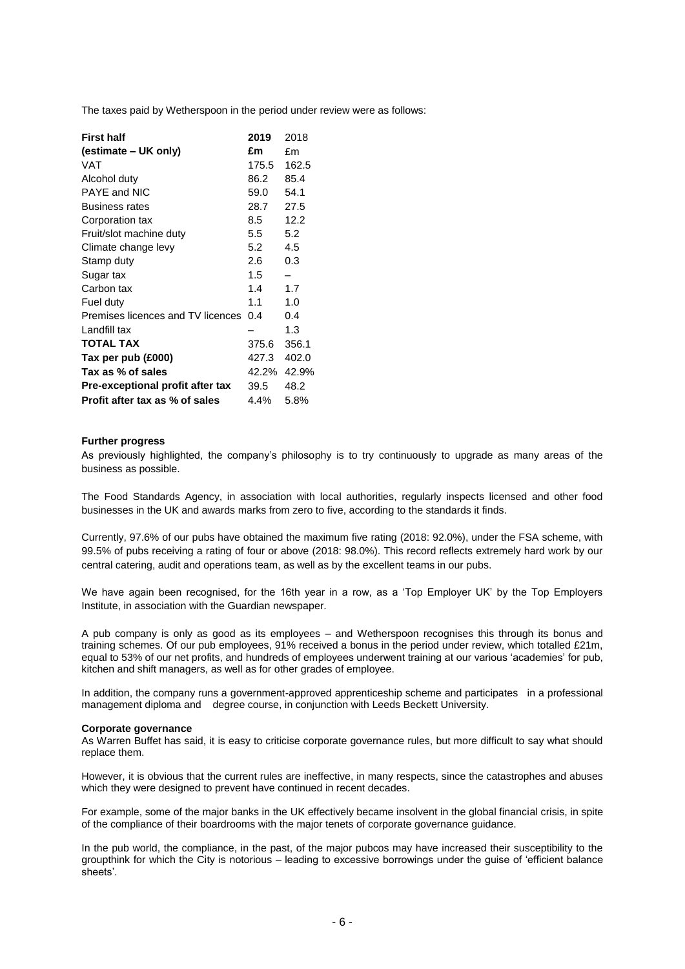The taxes paid by Wetherspoon in the period under review were as follows:

| <b>First half</b>                 | 2019  | 2018  |
|-----------------------------------|-------|-------|
| (estimate – UK only)              | £m    | £m    |
| VAT                               | 175.5 | 162.5 |
| Alcohol duty                      | 86.2  | 85.4  |
| PAYE and NIC                      | 59.0  | 54.1  |
| <b>Business rates</b>             | 28.7  | 27.5  |
| Corporation tax                   | 8.5   | 12.2  |
| Fruit/slot machine duty           | 5.5   | 5.2   |
| Climate change levy               | 5.2   | 4.5   |
| Stamp duty                        | 2.6   | 0.3   |
| Sugar tax                         | 1.5   |       |
| Carbon tax                        | 1.4   | 1.7   |
| Fuel duty                         | 1.1   | 1.0   |
| Premises licences and TV licences | 0.4   | 0.4   |
| Landfill tax                      |       | 1.3   |
| <b>TOTAL TAX</b>                  | 375.6 | 356.1 |
| Tax per pub (£000)                | 427.3 | 402.0 |
| Tax as % of sales                 | 42.2% | 42.9% |
| Pre-exceptional profit after tax  | 39.5  | 48.2  |
| Profit after tax as % of sales    | 4.4%  | 5.8%  |

## **Further progress**

As previously highlighted, the company's philosophy is to try continuously to upgrade as many areas of the business as possible.

The Food Standards Agency, in association with local authorities, regularly inspects licensed and other food businesses in the UK and awards marks from zero to five, according to the standards it finds.

Currently, 97.6% of our pubs have obtained the maximum five rating (2018: 92.0%), under the FSA scheme, with 99.5% of pubs receiving a rating of four or above (2018: 98.0%). This record reflects extremely hard work by our central catering, audit and operations team, as well as by the excellent teams in our pubs.

We have again been recognised, for the 16th year in a row, as a 'Top Employer UK' by the Top Employers Institute, in association with the Guardian newspaper.

A pub company is only as good as its employees – and Wetherspoon recognises this through its bonus and training schemes. Of our pub employees, 91% received a bonus in the period under review, which totalled £21m, equal to 53% of our net profits, and hundreds of employees underwent training at our various 'academies' for pub, kitchen and shift managers, as well as for other grades of employee.

In addition, the company runs a government-approved apprenticeship scheme and participates in a professional management diploma and degree course, in conjunction with Leeds Beckett University.

#### **Corporate governance**

As Warren Buffet has said, it is easy to criticise corporate governance rules, but more difficult to say what should replace them.

However, it is obvious that the current rules are ineffective, in many respects, since the catastrophes and abuses which they were designed to prevent have continued in recent decades.

For example, some of the major banks in the UK effectively became insolvent in the global financial crisis, in spite of the compliance of their boardrooms with the major tenets of corporate governance guidance.

In the pub world, the compliance, in the past, of the major pubcos may have increased their susceptibility to the groupthink for which the City is notorious – leading to excessive borrowings under the guise of 'efficient balance sheets'.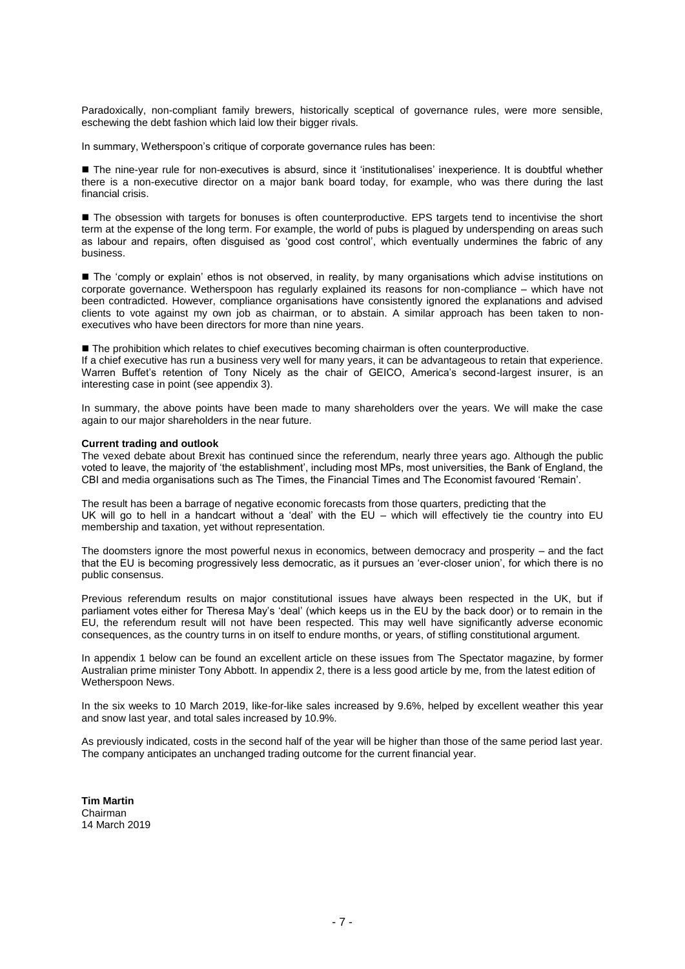Paradoxically, non-compliant family brewers, historically sceptical of governance rules, were more sensible, eschewing the debt fashion which laid low their bigger rivals.

In summary, Wetherspoon's critique of corporate governance rules has been:

 The nine-year rule for non-executives is absurd, since it 'institutionalises' inexperience. It is doubtful whether there is a non-executive director on a major bank board today, for example, who was there during the last financial crisis.

■ The obsession with targets for bonuses is often counterproductive. EPS targets tend to incentivise the short term at the expense of the long term. For example, the world of pubs is plagued by underspending on areas such as labour and repairs, often disguised as 'good cost control', which eventually undermines the fabric of any business.

■ The 'comply or explain' ethos is not observed, in reality, by many organisations which advise institutions on corporate governance. Wetherspoon has regularly explained its reasons for non-compliance – which have not been contradicted. However, compliance organisations have consistently ignored the explanations and advised clients to vote against my own job as chairman, or to abstain. A similar approach has been taken to nonexecutives who have been directors for more than nine years.

The prohibition which relates to chief executives becoming chairman is often counterproductive.

If a chief executive has run a business very well for many years, it can be advantageous to retain that experience. Warren Buffet's retention of Tony Nicely as the chair of GEICO, America's second-largest insurer, is an interesting case in point (see appendix 3).

In summary, the above points have been made to many shareholders over the years. We will make the case again to our major shareholders in the near future.

## **Current trading and outlook**

The vexed debate about Brexit has continued since the referendum, nearly three years ago. Although the public voted to leave, the majority of 'the establishment', including most MPs, most universities, the Bank of England, the CBI and media organisations such as The Times, the Financial Times and The Economist favoured 'Remain'.

The result has been a barrage of negative economic forecasts from those quarters, predicting that the UK will go to hell in a handcart without a 'deal' with the EU – which will effectively tie the country into EU membership and taxation, yet without representation.

The doomsters ignore the most powerful nexus in economics, between democracy and prosperity – and the fact that the EU is becoming progressively less democratic, as it pursues an 'ever-closer union', for which there is no public consensus.

Previous referendum results on major constitutional issues have always been respected in the UK, but if parliament votes either for Theresa May's 'deal' (which keeps us in the EU by the back door) or to remain in the EU, the referendum result will not have been respected. This may well have significantly adverse economic consequences, as the country turns in on itself to endure months, or years, of stifling constitutional argument.

In appendix 1 below can be found an excellent article on these issues from The Spectator magazine, by former Australian prime minister Tony Abbott. In appendix 2, there is a less good article by me, from the latest edition of Wetherspoon News.

In the six weeks to 10 March 2019, like-for-like sales increased by 9.6%, helped by excellent weather this year and snow last year, and total sales increased by 10.9%.

As previously indicated, costs in the second half of the year will be higher than those of the same period last year. The company anticipates an unchanged trading outcome for the current financial year.

**Tim Martin** Chairman 14 March 2019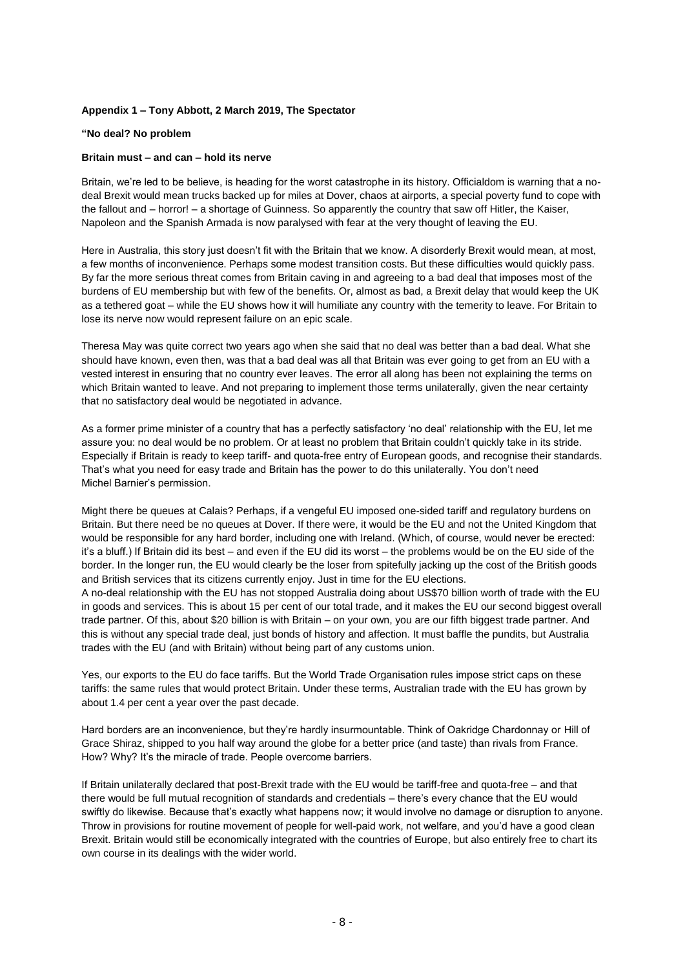# **Appendix 1 – Tony Abbott, 2 March 2019, The Spectator**

# **"No deal? No problem**

# **Britain must – and can – hold its nerve**

Britain, we're led to be believe, is heading for the worst catastrophe in its history. Officialdom is warning that a nodeal Brexit would mean trucks backed up for miles at Dover, chaos at airports, a special poverty fund to cope with the fallout and – horror! – a shortage of Guinness. So apparently the country that saw off Hitler, the Kaiser, Napoleon and the Spanish Armada is now paralysed with fear at the very thought of leaving the EU.

Here in Australia, this story just doesn't fit with the Britain that we know. A disorderly Brexit would mean, at most, a few months of inconvenience. Perhaps some modest transition costs. But these difficulties would quickly pass. By far the more serious threat comes from Britain caving in and agreeing to a bad deal that imposes most of the burdens of EU membership but with few of the benefits. Or, almost as bad, a Brexit delay that would keep the UK as a tethered goat – while the EU shows how it will humiliate any country with the temerity to leave. For Britain to lose its nerve now would represent failure on an epic scale.

Theresa May was quite correct two years ago when she said that no deal was better than a bad deal. What she should have known, even then, was that a bad deal was all that Britain was ever going to get from an EU with a vested interest in ensuring that no country ever leaves. The error all along has been not explaining the terms on which Britain wanted to leave. And not preparing to implement those terms unilaterally, given the near certainty that no satisfactory deal would be negotiated in advance.

As a former prime minister of a country that has a perfectly satisfactory 'no deal' relationship with the EU, let me assure you: no deal would be no problem. Or at least no problem that Britain couldn't quickly take in its stride. Especially if Britain is ready to keep tariff- and quota-free entry of European goods, and recognise their standards. That's what you need for easy trade and Britain has the power to do this unilaterally. You don't need Michel Barnier's permission.

Might there be queues at Calais? Perhaps, if a vengeful EU imposed one-sided tariff and regulatory burdens on Britain. But there need be no queues at Dover. If there were, it would be the EU and not the United Kingdom that would be responsible for any hard border, including one with Ireland. (Which, of course, would never be erected: it's a bluff.) If Britain did its best – and even if the EU did its worst – the problems would be on the EU side of the border. In the longer run, the EU would clearly be the loser from spitefully jacking up the cost of the British goods and British services that its citizens currently enjoy. Just in time for the EU elections.

A no-deal relationship with the EU has not stopped Australia doing about US\$70 billion worth of trade with the EU in goods and services. This is about 15 per cent of our total trade, and it makes the EU our second biggest overall trade partner. Of this, about \$20 billion is with Britain – on your own, you are our fifth biggest trade partner. And this is without any special trade deal, just bonds of history and affection. It must baffle the pundits, but Australia trades with the EU (and with Britain) without being part of any customs union.

Yes, our exports to the EU do face tariffs. But the World Trade Organisation rules impose strict caps on these tariffs: the same rules that would protect Britain. Under these terms, Australian trade with the EU has grown by about 1.4 per cent a year over the past decade.

Hard borders are an inconvenience, but they're hardly insurmountable. Think of Oakridge Chardonnay or Hill of Grace Shiraz, shipped to you half way around the globe for a better price (and taste) than rivals from France. How? Why? It's the miracle of trade. People overcome barriers.

If Britain unilaterally declared that post-Brexit trade with the EU would be tariff-free and quota-free – and that there would be full mutual recognition of standards and credentials – there's every chance that the EU would swiftly do likewise. Because that's exactly what happens now; it would involve no damage or disruption to anyone. Throw in provisions for routine movement of people for well-paid work, not welfare, and you'd have a good clean Brexit. Britain would still be economically integrated with the countries of Europe, but also entirely free to chart its own course in its dealings with the wider world.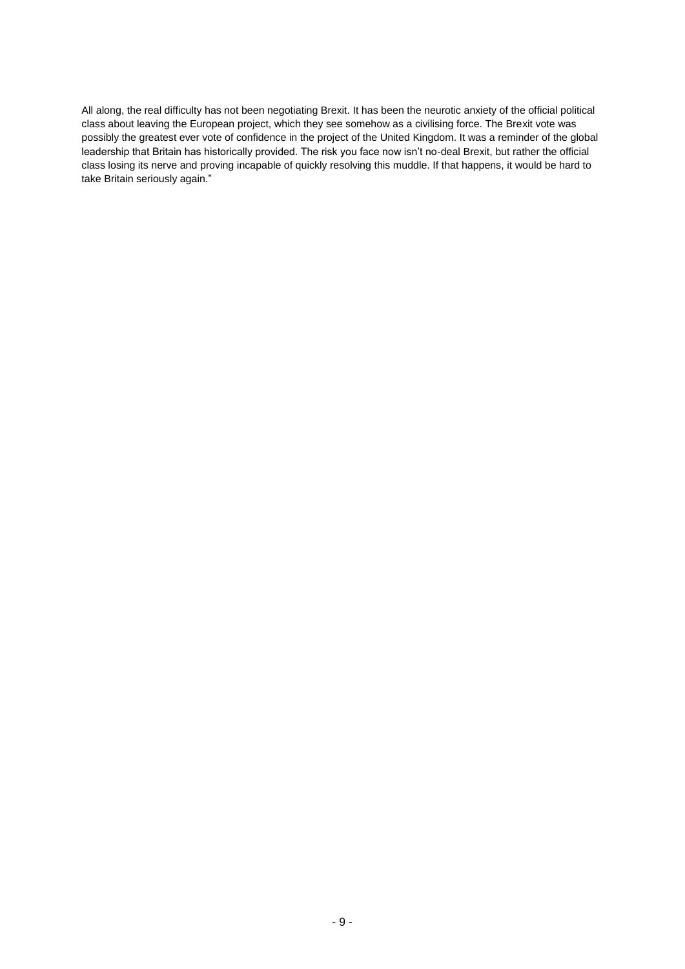All along, the real difficulty has not been negotiating Brexit. It has been the neurotic anxiety of the official political class about leaving the European project, which they see somehow as a civilising force. The Brexit vote was possibly the greatest ever vote of confidence in the project of the United Kingdom. It was a reminder of the global leadership that Britain has historically provided. The risk you face now isn't no-deal Brexit, but rather the official class losing its nerve and proving incapable of quickly resolving this muddle. If that happens, it would be hard to take Britain seriously again."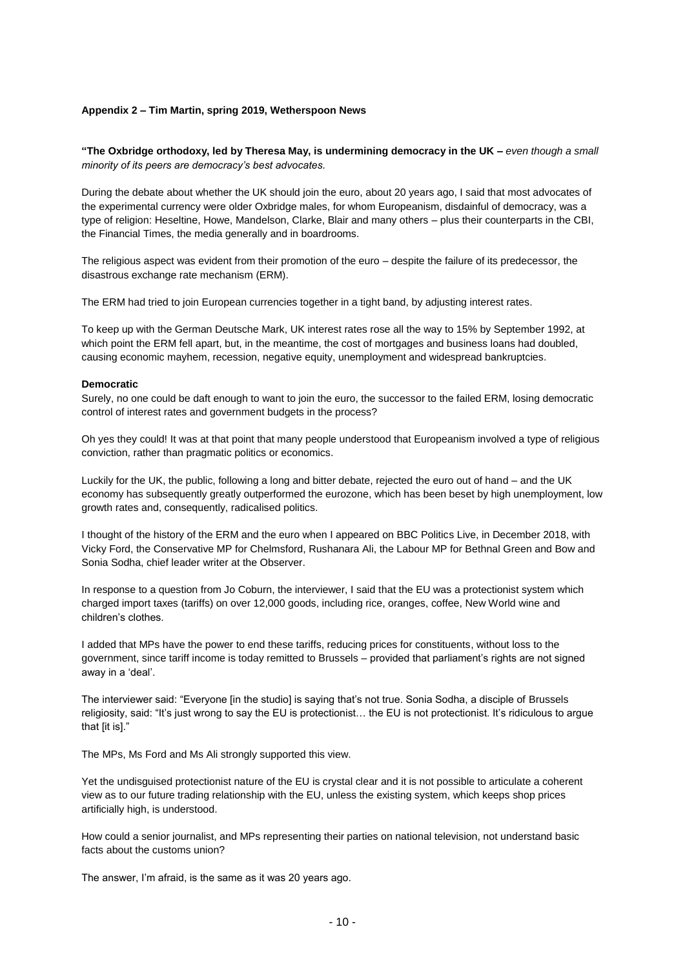# **Appendix 2 – Tim Martin, spring 2019, Wetherspoon News**

**"The Oxbridge orthodoxy, led by Theresa May, is undermining democracy in the UK –** *even though a small minority of its peers are democracy's best advocates.*

During the debate about whether the UK should join the euro, about 20 years ago, I said that most advocates of the experimental currency were older Oxbridge males, for whom Europeanism, disdainful of democracy, was a type of religion: Heseltine, Howe, Mandelson, Clarke, Blair and many others – plus their counterparts in the CBI, the Financial Times, the media generally and in boardrooms.

The religious aspect was evident from their promotion of the euro – despite the failure of its predecessor, the disastrous exchange rate mechanism (ERM).

The ERM had tried to join European currencies together in a tight band, by adjusting interest rates.

To keep up with the German Deutsche Mark, UK interest rates rose all the way to 15% by September 1992, at which point the ERM fell apart, but, in the meantime, the cost of mortgages and business loans had doubled, causing economic mayhem, recession, negative equity, unemployment and widespread bankruptcies.

## **Democratic**

Surely, no one could be daft enough to want to join the euro, the successor to the failed ERM, losing democratic control of interest rates and government budgets in the process?

Oh yes they could! It was at that point that many people understood that Europeanism involved a type of religious conviction, rather than pragmatic politics or economics.

Luckily for the UK, the public, following a long and bitter debate, rejected the euro out of hand – and the UK economy has subsequently greatly outperformed the eurozone, which has been beset by high unemployment, low growth rates and, consequently, radicalised politics.

I thought of the history of the ERM and the euro when I appeared on BBC Politics Live, in December 2018, with Vicky Ford, the Conservative MP for Chelmsford, Rushanara Ali, the Labour MP for Bethnal Green and Bow and Sonia Sodha, chief leader writer at the Observer.

In response to a question from Jo Coburn, the interviewer, I said that the EU was a protectionist system which charged import taxes (tariffs) on over 12,000 goods, including rice, oranges, coffee, New World wine and children's clothes.

I added that MPs have the power to end these tariffs, reducing prices for constituents, without loss to the government, since tariff income is today remitted to Brussels – provided that parliament's rights are not signed away in a 'deal'.

The interviewer said: "Everyone [in the studio] is saying that's not true. Sonia Sodha, a disciple of Brussels religiosity, said: "It's just wrong to say the EU is protectionist… the EU is not protectionist. It's ridiculous to argue that [it is]."

The MPs, Ms Ford and Ms Ali strongly supported this view.

Yet the undisguised protectionist nature of the EU is crystal clear and it is not possible to articulate a coherent view as to our future trading relationship with the EU, unless the existing system, which keeps shop prices artificially high, is understood.

How could a senior journalist, and MPs representing their parties on national television, not understand basic facts about the customs union?

The answer, I'm afraid, is the same as it was 20 years ago.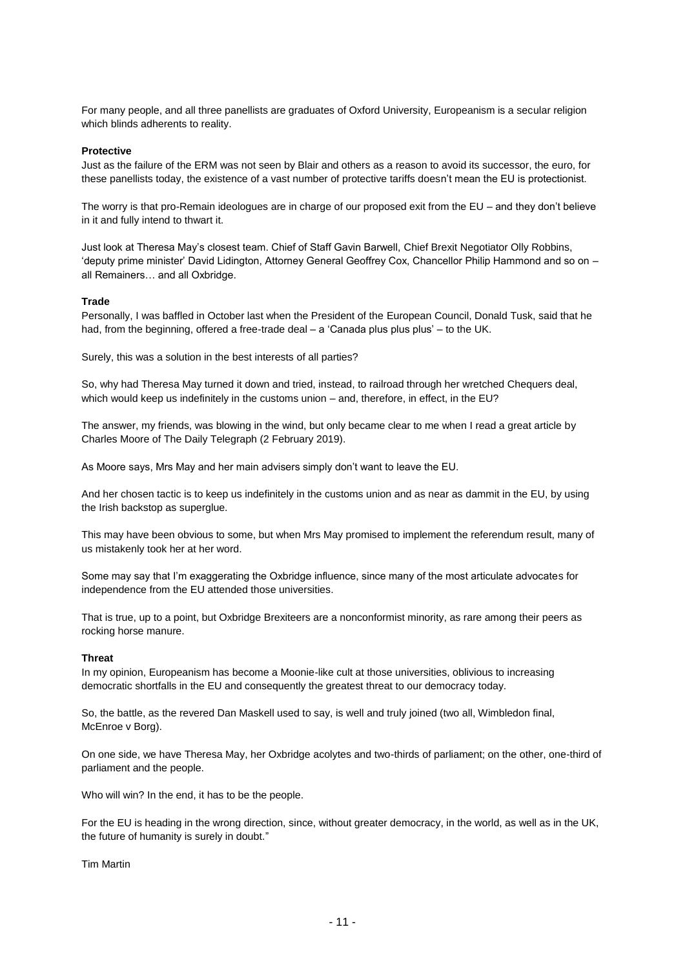For many people, and all three panellists are graduates of Oxford University, Europeanism is a secular religion which blinds adherents to reality.

# **Protective**

Just as the failure of the ERM was not seen by Blair and others as a reason to avoid its successor, the euro, for these panellists today, the existence of a vast number of protective tariffs doesn't mean the EU is protectionist.

The worry is that pro-Remain ideologues are in charge of our proposed exit from the EU – and they don't believe in it and fully intend to thwart it.

Just look at Theresa May's closest team. Chief of Staff Gavin Barwell, Chief Brexit Negotiator Olly Robbins, 'deputy prime minister' David Lidington, Attorney General Geoffrey Cox, Chancellor Philip Hammond and so on – all Remainers… and all Oxbridge.

# **Trade**

Personally, I was baffled in October last when the President of the European Council, Donald Tusk, said that he had, from the beginning, offered a free-trade deal  $-$  a 'Canada plus plus plus'  $-$  to the UK.

Surely, this was a solution in the best interests of all parties?

So, why had Theresa May turned it down and tried, instead, to railroad through her wretched Chequers deal, which would keep us indefinitely in the customs union – and, therefore, in effect, in the EU?

The answer, my friends, was blowing in the wind, but only became clear to me when I read a great article by Charles Moore of The Daily Telegraph (2 February 2019).

As Moore says, Mrs May and her main advisers simply don't want to leave the EU.

And her chosen tactic is to keep us indefinitely in the customs union and as near as dammit in the EU, by using the Irish backstop as superglue.

This may have been obvious to some, but when Mrs May promised to implement the referendum result, many of us mistakenly took her at her word.

Some may say that I'm exaggerating the Oxbridge influence, since many of the most articulate advocates for independence from the EU attended those universities.

That is true, up to a point, but Oxbridge Brexiteers are a nonconformist minority, as rare among their peers as rocking horse manure.

# **Threat**

In my opinion, Europeanism has become a Moonie-like cult at those universities, oblivious to increasing democratic shortfalls in the EU and consequently the greatest threat to our democracy today.

So, the battle, as the revered Dan Maskell used to say, is well and truly joined (two all, Wimbledon final, McEnroe v Borg).

On one side, we have Theresa May, her Oxbridge acolytes and two-thirds of parliament; on the other, one-third of parliament and the people.

Who will win? In the end, it has to be the people.

For the EU is heading in the wrong direction, since, without greater democracy, in the world, as well as in the UK, the future of humanity is surely in doubt."

Tim Martin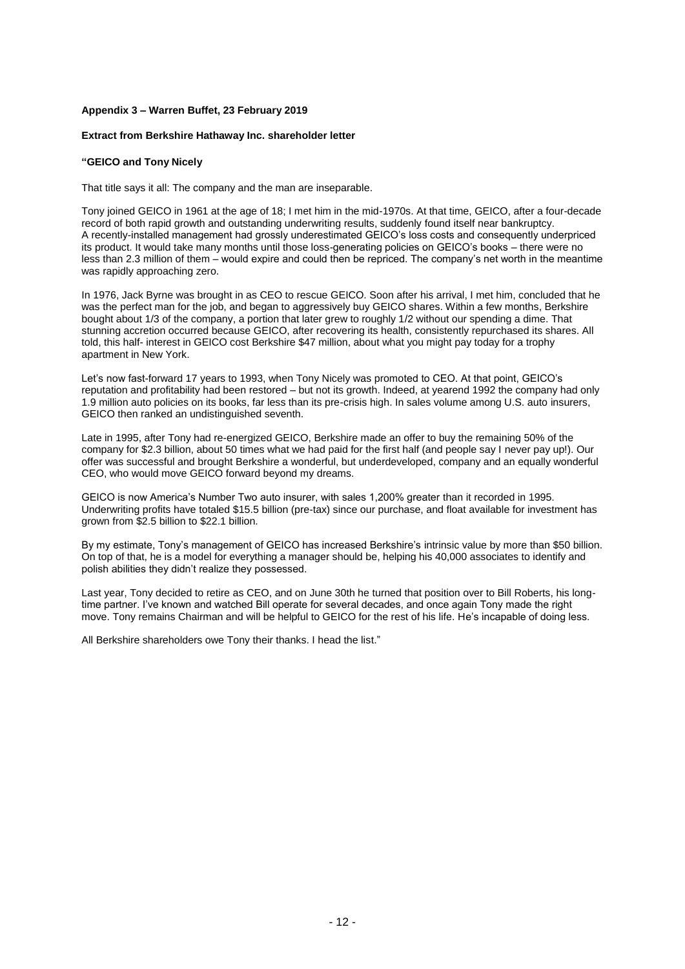# **Appendix 3 – Warren Buffet, 23 February 2019**

# **Extract from Berkshire Hathaway Inc. shareholder letter**

## **"GEICO and Tony Nicely**

That title says it all: The company and the man are inseparable.

Tony joined GEICO in 1961 at the age of 18; I met him in the mid-1970s. At that time, GEICO, after a four-decade record of both rapid growth and outstanding underwriting results, suddenly found itself near bankruptcy. A recently-installed management had grossly underestimated GEICO's loss costs and consequently underpriced its product. It would take many months until those loss-generating policies on GEICO's books – there were no less than 2.3 million of them – would expire and could then be repriced. The company's net worth in the meantime was rapidly approaching zero.

In 1976, Jack Byrne was brought in as CEO to rescue GEICO. Soon after his arrival, I met him, concluded that he was the perfect man for the job, and began to aggressively buy GEICO shares. Within a few months, Berkshire bought about 1/3 of the company, a portion that later grew to roughly 1/2 without our spending a dime. That stunning accretion occurred because GEICO, after recovering its health, consistently repurchased its shares. All told, this half- interest in GEICO cost Berkshire \$47 million, about what you might pay today for a trophy apartment in New York.

Let's now fast-forward 17 years to 1993, when Tony Nicely was promoted to CEO. At that point, GEICO's reputation and profitability had been restored – but not its growth. Indeed, at yearend 1992 the company had only 1.9 million auto policies on its books, far less than its pre-crisis high. In sales volume among U.S. auto insurers, GEICO then ranked an undistinguished seventh.

Late in 1995, after Tony had re-energized GEICO, Berkshire made an offer to buy the remaining 50% of the company for \$2.3 billion, about 50 times what we had paid for the first half (and people say I never pay up!). Our offer was successful and brought Berkshire a wonderful, but underdeveloped, company and an equally wonderful CEO, who would move GEICO forward beyond my dreams.

GEICO is now America's Number Two auto insurer, with sales 1,200% greater than it recorded in 1995. Underwriting profits have totaled \$15.5 billion (pre-tax) since our purchase, and float available for investment has grown from \$2.5 billion to \$22.1 billion.

By my estimate, Tony's management of GEICO has increased Berkshire's intrinsic value by more than \$50 billion. On top of that, he is a model for everything a manager should be, helping his 40,000 associates to identify and polish abilities they didn't realize they possessed.

Last year, Tony decided to retire as CEO, and on June 30th he turned that position over to Bill Roberts, his longtime partner. I've known and watched Bill operate for several decades, and once again Tony made the right move. Tony remains Chairman and will be helpful to GEICO for the rest of his life. He's incapable of doing less.

All Berkshire shareholders owe Tony their thanks. I head the list."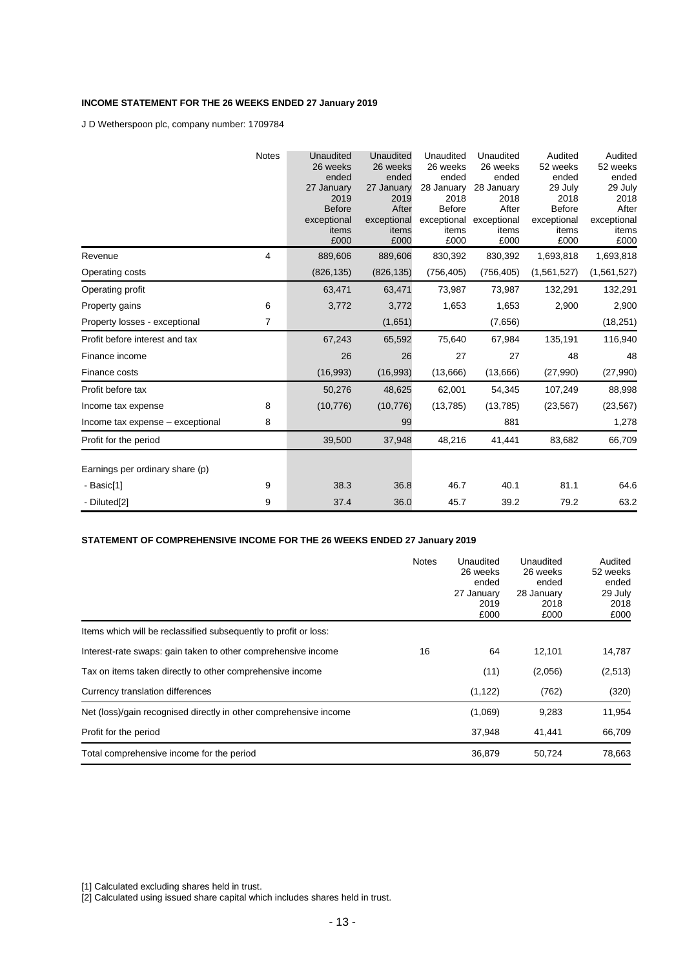# **INCOME STATEMENT FOR THE 26 WEEKS ENDED 27 January 2019**

J D Wetherspoon plc, company number: 1709784

|                                  | <b>Notes</b> | Unaudited<br>26 weeks<br>ended<br>27 January<br>2019<br><b>Before</b><br>exceptional<br>items<br>£000 | Unaudited<br>26 weeks<br>ended<br>27 January<br>2019<br>After<br>exceptional<br>items<br>£000 | Unaudited<br>26 weeks<br>ended<br>28 January<br>2018<br><b>Before</b><br>exceptional<br>items<br>£000 | Unaudited<br>26 weeks<br>ended<br>28 January<br>2018<br>After<br>exceptional<br>items<br>£000 | Audited<br>52 weeks<br>ended<br>29 July<br>2018<br><b>Before</b><br>exceptional<br>items<br>£000 | Audited<br>52 weeks<br>ended<br>29 July<br>2018<br>After<br>exceptional<br>items<br>£000 |
|----------------------------------|--------------|-------------------------------------------------------------------------------------------------------|-----------------------------------------------------------------------------------------------|-------------------------------------------------------------------------------------------------------|-----------------------------------------------------------------------------------------------|--------------------------------------------------------------------------------------------------|------------------------------------------------------------------------------------------|
| Revenue                          | 4            | 889,606                                                                                               | 889,606                                                                                       | 830,392                                                                                               | 830,392                                                                                       | 1,693,818                                                                                        | 1,693,818                                                                                |
| Operating costs                  |              | (826, 135)                                                                                            | (826, 135)                                                                                    | (756, 405)                                                                                            | (756, 405)                                                                                    | (1,561,527)                                                                                      | (1,561,527)                                                                              |
| Operating profit                 |              | 63,471                                                                                                | 63,471                                                                                        | 73,987                                                                                                | 73,987                                                                                        | 132,291                                                                                          | 132,291                                                                                  |
| Property gains                   | 6            | 3,772                                                                                                 | 3,772                                                                                         | 1,653                                                                                                 | 1,653                                                                                         | 2,900                                                                                            | 2,900                                                                                    |
| Property losses - exceptional    | 7            |                                                                                                       | (1,651)                                                                                       |                                                                                                       | (7,656)                                                                                       |                                                                                                  | (18, 251)                                                                                |
| Profit before interest and tax   |              | 67,243                                                                                                | 65,592                                                                                        | 75,640                                                                                                | 67,984                                                                                        | 135,191                                                                                          | 116,940                                                                                  |
| Finance income                   |              | 26                                                                                                    | 26                                                                                            | 27                                                                                                    | 27                                                                                            | 48                                                                                               | 48                                                                                       |
| Finance costs                    |              | (16,993)                                                                                              | (16, 993)                                                                                     | (13,666)                                                                                              | (13,666)                                                                                      | (27, 990)                                                                                        | (27,990)                                                                                 |
| Profit before tax                |              | 50,276                                                                                                | 48,625                                                                                        | 62,001                                                                                                | 54,345                                                                                        | 107,249                                                                                          | 88,998                                                                                   |
| Income tax expense               | 8            | (10, 776)                                                                                             | (10, 776)                                                                                     | (13,785)                                                                                              | (13,785)                                                                                      | (23, 567)                                                                                        | (23, 567)                                                                                |
| Income tax expense - exceptional | 8            |                                                                                                       | 99                                                                                            |                                                                                                       | 881                                                                                           |                                                                                                  | 1,278                                                                                    |
| Profit for the period            |              | 39,500                                                                                                | 37,948                                                                                        | 48,216                                                                                                | 41,441                                                                                        | 83,682                                                                                           | 66,709                                                                                   |
| Earnings per ordinary share (p)  |              |                                                                                                       |                                                                                               |                                                                                                       |                                                                                               |                                                                                                  |                                                                                          |
| - Basic[1]                       | 9            | 38.3                                                                                                  | 36.8                                                                                          | 46.7                                                                                                  | 40.1                                                                                          | 81.1                                                                                             | 64.6                                                                                     |
| - Diluted[2]                     | 9            | 37.4                                                                                                  | 36.0                                                                                          | 45.7                                                                                                  | 39.2                                                                                          | 79.2                                                                                             | 63.2                                                                                     |

# **STATEMENT OF COMPREHENSIVE INCOME FOR THE 26 WEEKS ENDED 27 January 2019**

|                                                                   | <b>Notes</b> | Unaudited<br>26 weeks<br>ended<br>27 January<br>2019<br>£000 | Unaudited<br>26 weeks<br>ended<br>28 January<br>2018<br>£000 | Audited<br>52 weeks<br>ended<br>29 July<br>2018<br>£000 |
|-------------------------------------------------------------------|--------------|--------------------------------------------------------------|--------------------------------------------------------------|---------------------------------------------------------|
| Items which will be reclassified subsequently to profit or loss:  |              |                                                              |                                                              |                                                         |
| Interest-rate swaps: gain taken to other comprehensive income     | 16           | 64                                                           | 12,101                                                       | 14,787                                                  |
| Tax on items taken directly to other comprehensive income         |              | (11)                                                         | (2,056)                                                      | (2, 513)                                                |
| Currency translation differences                                  |              | (1, 122)                                                     | (762)                                                        | (320)                                                   |
| Net (loss)/gain recognised directly in other comprehensive income |              | (1,069)                                                      | 9,283                                                        | 11,954                                                  |
| Profit for the period                                             |              | 37,948                                                       | 41,441                                                       | 66,709                                                  |
| Total comprehensive income for the period                         |              | 36,879                                                       | 50,724                                                       | 78,663                                                  |

[1] Calculated excluding shares held in trust.

[2] Calculated using issued share capital which includes shares held in trust.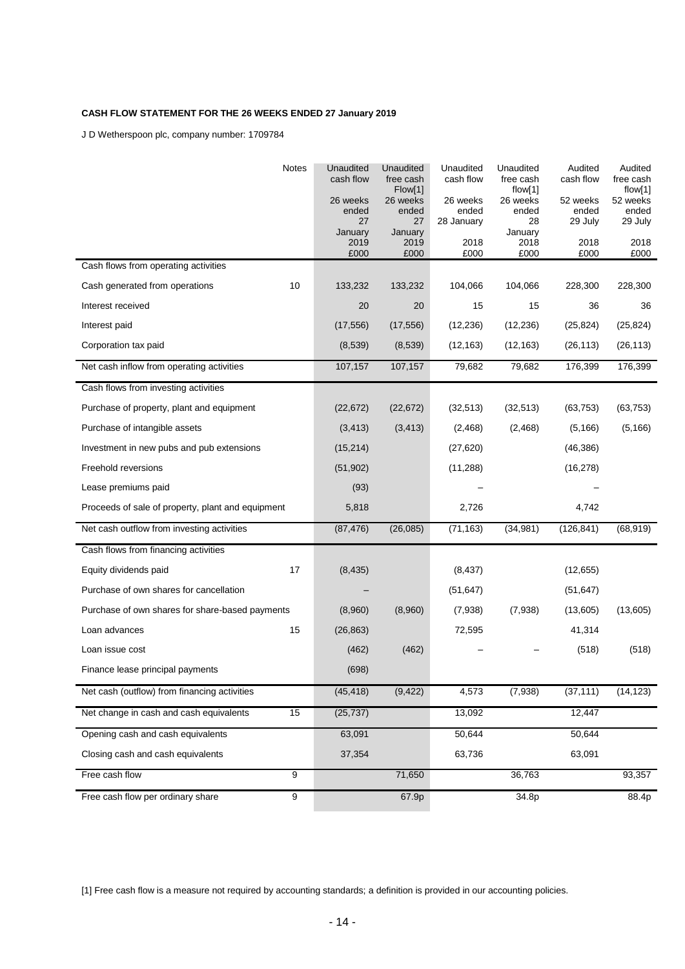# **CASH FLOW STATEMENT FOR THE 26 WEEKS ENDED 27 January 2019**

J D Wetherspoon plc, company number: 1709784

|                                                   | <b>Notes</b>     | Unaudited<br>cash flow<br>26 weeks<br>ended<br>27<br>January | Unaudited<br>free cash<br>Flow[1]<br>26 weeks<br>ended<br>27<br>January | Unaudited<br>cash flow<br>26 weeks<br>ended<br>28 January | Unaudited<br>free cash<br>flow[1]<br>26 weeks<br>ended<br>28<br>January | Audited<br>cash flow<br>52 weeks<br>ended<br>29 July | Audited<br>free cash<br>flow[1]<br>52 weeks<br>ended<br>29 July |
|---------------------------------------------------|------------------|--------------------------------------------------------------|-------------------------------------------------------------------------|-----------------------------------------------------------|-------------------------------------------------------------------------|------------------------------------------------------|-----------------------------------------------------------------|
|                                                   |                  | 2019<br>£000                                                 | 2019<br>£000                                                            | 2018<br>£000                                              | 2018<br>£000                                                            | 2018<br>£000                                         | 2018<br>£000                                                    |
| Cash flows from operating activities              |                  |                                                              |                                                                         |                                                           |                                                                         |                                                      |                                                                 |
| Cash generated from operations                    | 10               | 133,232                                                      | 133,232                                                                 | 104,066                                                   | 104,066                                                                 | 228,300                                              | 228,300                                                         |
| Interest received                                 |                  | 20                                                           | 20                                                                      | 15                                                        | 15                                                                      | 36                                                   | 36                                                              |
| Interest paid                                     |                  | (17, 556)                                                    | (17, 556)                                                               | (12, 236)                                                 | (12, 236)                                                               | (25, 824)                                            | (25, 824)                                                       |
| Corporation tax paid                              |                  | (8,539)                                                      | (8,539)                                                                 | (12, 163)                                                 | (12, 163)                                                               | (26, 113)                                            | (26, 113)                                                       |
| Net cash inflow from operating activities         |                  | 107,157                                                      | 107,157                                                                 | 79,682                                                    | 79,682                                                                  | 176,399                                              | 176,399                                                         |
| Cash flows from investing activities              |                  |                                                              |                                                                         |                                                           |                                                                         |                                                      |                                                                 |
| Purchase of property, plant and equipment         |                  | (22, 672)                                                    | (22, 672)                                                               | (32, 513)                                                 | (32, 513)                                                               | (63, 753)                                            | (63, 753)                                                       |
| Purchase of intangible assets                     |                  | (3, 413)                                                     | (3, 413)                                                                | (2, 468)                                                  | (2, 468)                                                                | (5, 166)                                             | (5, 166)                                                        |
| Investment in new pubs and pub extensions         |                  | (15, 214)                                                    |                                                                         | (27, 620)                                                 |                                                                         | (46, 386)                                            |                                                                 |
| Freehold reversions                               |                  | (51, 902)                                                    |                                                                         | (11, 288)                                                 |                                                                         | (16, 278)                                            |                                                                 |
| Lease premiums paid                               |                  | (93)                                                         |                                                                         |                                                           |                                                                         |                                                      |                                                                 |
| Proceeds of sale of property, plant and equipment |                  | 5,818                                                        |                                                                         | 2,726                                                     |                                                                         | 4,742                                                |                                                                 |
| Net cash outflow from investing activities        |                  | (87, 476)                                                    | (26,085)                                                                | (71, 163)                                                 | (34, 981)                                                               | (126, 841)                                           | (68, 919)                                                       |
| Cash flows from financing activities              |                  |                                                              |                                                                         |                                                           |                                                                         |                                                      |                                                                 |
| Equity dividends paid                             | 17               | (8, 435)                                                     |                                                                         | (8, 437)                                                  |                                                                         | (12, 655)                                            |                                                                 |
| Purchase of own shares for cancellation           |                  |                                                              |                                                                         | (51, 647)                                                 |                                                                         | (51, 647)                                            |                                                                 |
| Purchase of own shares for share-based payments   |                  | (8,960)                                                      | (8,960)                                                                 | (7,938)                                                   | (7,938)                                                                 | (13,605)                                             | (13,605)                                                        |
| Loan advances                                     | 15               | (26, 863)                                                    |                                                                         | 72,595                                                    |                                                                         | 41,314                                               |                                                                 |
| Loan issue cost                                   |                  | (462)                                                        | (462)                                                                   |                                                           |                                                                         | (518)                                                | (518)                                                           |
| Finance lease principal payments                  |                  | (698)                                                        |                                                                         |                                                           |                                                                         |                                                      |                                                                 |
| Net cash (outflow) from financing activities      |                  | (45, 418)                                                    | (9, 422)                                                                | 4,573                                                     | (7,938)                                                                 | (37, 111)                                            | (14, 123)                                                       |
| Net change in cash and cash equivalents           | 15               | (25, 737)                                                    |                                                                         | 13,092                                                    |                                                                         | 12,447                                               |                                                                 |
| Opening cash and cash equivalents                 |                  | 63,091                                                       |                                                                         | 50,644                                                    |                                                                         | 50,644                                               |                                                                 |
| Closing cash and cash equivalents                 |                  | 37,354                                                       |                                                                         | 63,736                                                    |                                                                         | 63,091                                               |                                                                 |
| Free cash flow                                    | 9                |                                                              | 71,650                                                                  |                                                           | 36,763                                                                  |                                                      | 93,357                                                          |
| Free cash flow per ordinary share                 | $\boldsymbol{9}$ |                                                              | 67.9p                                                                   |                                                           | 34.8p                                                                   |                                                      | 88.4p                                                           |

[1] Free cash flow is a measure not required by accounting standards; a definition is provided in our accounting policies.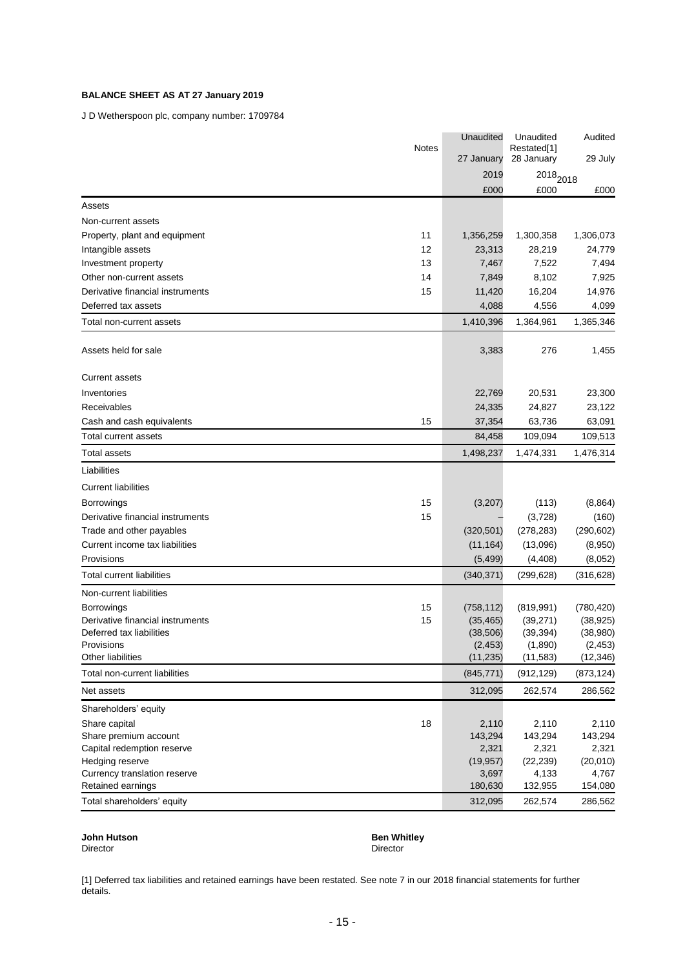# **BALANCE SHEET AS AT 27 January 2019**

J D Wetherspoon plc, company number: 1709784

|                                  |              | Unaudited       | Unaudited                 | Audited         |
|----------------------------------|--------------|-----------------|---------------------------|-----------------|
|                                  | <b>Notes</b> | 27 January      | Restated[1]<br>28 January | 29 July         |
|                                  |              | 2019            | 2018 <sub>2018</sub>      |                 |
|                                  |              | £000            | £000                      | £000            |
| Assets                           |              |                 |                           |                 |
| Non-current assets               |              |                 |                           |                 |
| Property, plant and equipment    | 11           | 1,356,259       | 1,300,358                 | 1,306,073       |
| Intangible assets                | 12           | 23,313          | 28,219                    |                 |
| Investment property              | 13           | 7,467           | 7,522                     | 24,779<br>7,494 |
| Other non-current assets         | 14           |                 | 8,102                     |                 |
|                                  |              | 7,849           | 16,204                    | 7,925           |
| Derivative financial instruments | 15           | 11,420<br>4,088 |                           | 14,976          |
| Deferred tax assets              |              |                 | 4,556                     | 4,099           |
| Total non-current assets         |              | 1,410,396       | 1,364,961                 | 1,365,346       |
| Assets held for sale             |              | 3,383           | 276                       | 1,455           |
| <b>Current assets</b>            |              |                 |                           |                 |
| Inventories                      |              | 22,769          | 20,531                    | 23,300          |
| Receivables                      |              | 24,335          | 24,827                    | 23,122          |
| Cash and cash equivalents        | 15           | 37,354          | 63,736                    | 63,091          |
| Total current assets             |              | 84,458          | 109,094                   | 109,513         |
| Total assets                     |              | 1,498,237       | 1,474,331                 | 1,476,314       |
| Liabilities                      |              |                 |                           |                 |
| <b>Current liabilities</b>       |              |                 |                           |                 |
| <b>Borrowings</b>                | 15           | (3,207)         | (113)                     | (8,864)         |
| Derivative financial instruments | 15           |                 | (3,728)                   | (160)           |
| Trade and other payables         |              | (320, 501)      | (278, 283)                | (290, 602)      |
| Current income tax liabilities   |              | (11, 164)       | (13,096)                  | (8,950)         |
| Provisions                       |              | (5, 499)        | (4, 408)                  | (8,052)         |
| Total current liabilities        |              | (340, 371)      | (299, 628)                | (316, 628)      |
| Non-current liabilities          |              |                 |                           |                 |
| <b>Borrowings</b>                | 15           | (758, 112)      | (819, 991)                | (780, 420)      |
| Derivative financial instruments | 15           | (35, 465)       | (39, 271)                 | (38, 925)       |
| Deferred tax liabilities         |              | (38, 506)       | (39, 394)                 | (38,980)        |
| Provisions                       |              | (2, 453)        | (1,890)                   | (2, 453)        |
| Other liabilities                |              | (11, 235)       | (11, 583)                 | (12, 346)       |
| Total non-current liabilities    |              | (845, 771)      | (912, 129)                | (873, 124)      |
| Net assets                       |              | 312,095         | 262,574                   | 286,562         |
| Shareholders' equity             |              |                 |                           |                 |
| Share capital                    | 18           | 2,110           | 2,110                     | 2,110           |
| Share premium account            |              | 143,294         | 143,294                   | 143,294         |
| Capital redemption reserve       |              | 2,321           | 2,321                     | 2,321           |
| Hedging reserve                  |              | (19, 957)       | (22, 239)                 | (20, 010)       |
| Currency translation reserve     |              | 3,697           | 4,133                     | 4,767           |
| Retained earnings                |              | 180,630         | 132,955                   | 154,080         |
| Total shareholders' equity       |              | 312,095         | 262,574                   | 286,562         |

**John Hutson Ben Whitley**

[1] Deferred tax liabilities and retained earnings have been restated. See note 7 in our 2018 financial statements for further details.

Director Director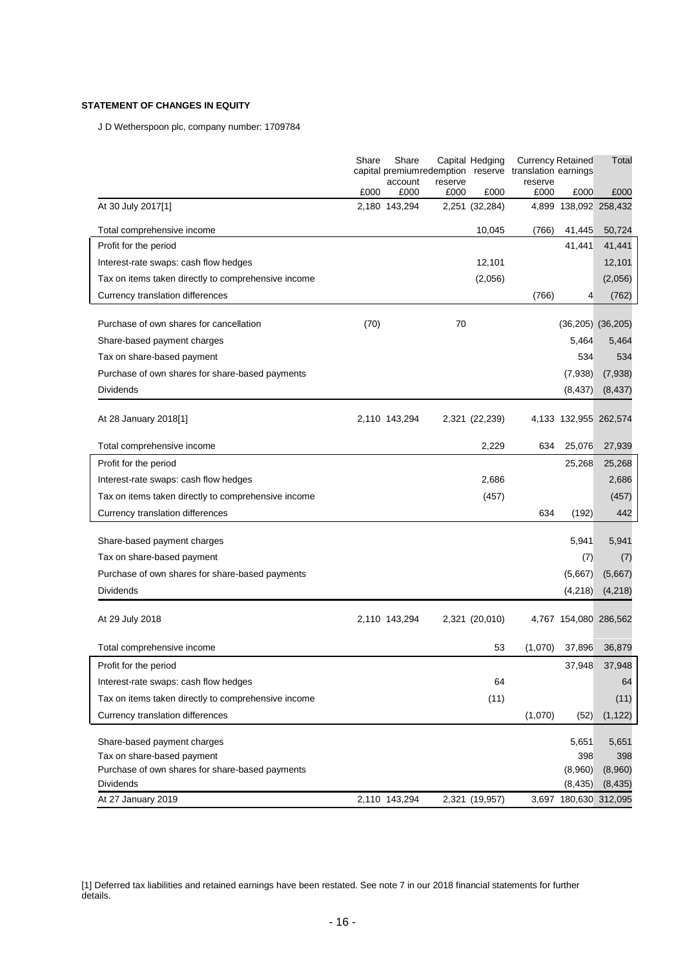# **STATEMENT OF CHANGES IN EQUITY**

J D Wetherspoon plc, company number: 1709784

|                                                           | Share | Share<br>account | capital premiumredemption reserve<br>reserve | Capital Hedging | <b>Currency Retained</b><br>translation earnings<br>reserve |                       | Total                 |
|-----------------------------------------------------------|-------|------------------|----------------------------------------------|-----------------|-------------------------------------------------------------|-----------------------|-----------------------|
|                                                           | £000  | £000             | £000                                         | £000            | £000                                                        | £000                  | £000                  |
| At 30 July 2017[1]                                        |       | 2,180 143,294    |                                              | 2,251 (32,284)  |                                                             | 4,899 138,092 258,432 |                       |
| Total comprehensive income                                |       |                  |                                              | 10,045          | (766)                                                       | 41,445                | 50,724                |
| Profit for the period                                     |       |                  |                                              |                 |                                                             | 41,441                | 41,441                |
| Interest-rate swaps: cash flow hedges                     |       |                  |                                              | 12,101          |                                                             |                       | 12,101                |
| Tax on items taken directly to comprehensive income       |       |                  |                                              | (2,056)         |                                                             |                       | (2,056)               |
| Currency translation differences                          |       |                  |                                              |                 | (766)                                                       | 4                     | (762)                 |
|                                                           |       |                  |                                              |                 |                                                             |                       |                       |
| Purchase of own shares for cancellation                   | (70)  |                  | 70                                           |                 |                                                             |                       | $(36,205)$ $(36,205)$ |
| Share-based payment charges                               |       |                  |                                              |                 |                                                             | 5,464                 | 5,464                 |
| Tax on share-based payment                                |       |                  |                                              |                 |                                                             | 534                   | 534                   |
| Purchase of own shares for share-based payments           |       |                  |                                              |                 |                                                             | (7,938)               | (7,938)               |
| <b>Dividends</b>                                          |       |                  |                                              |                 |                                                             | (8, 437)              | (8, 437)              |
| At 28 January 2018[1]                                     |       | 2,110 143,294    |                                              | 2,321 (22,239)  |                                                             | 4,133 132,955 262,574 |                       |
| Total comprehensive income                                |       |                  |                                              | 2,229           | 634                                                         | 25,076                | 27,939                |
| Profit for the period                                     |       |                  |                                              |                 |                                                             | 25,268                | 25,268                |
| Interest-rate swaps: cash flow hedges                     |       |                  |                                              | 2,686           |                                                             |                       | 2,686                 |
| Tax on items taken directly to comprehensive income       |       |                  |                                              | (457)           |                                                             |                       | (457)                 |
| Currency translation differences                          |       |                  |                                              |                 | 634                                                         | (192)                 | 442                   |
|                                                           |       |                  |                                              |                 |                                                             |                       |                       |
| Share-based payment charges                               |       |                  |                                              |                 |                                                             | 5,941                 | 5,941                 |
| Tax on share-based payment                                |       |                  |                                              |                 |                                                             | (7)                   | (7)                   |
| Purchase of own shares for share-based payments           |       |                  |                                              |                 |                                                             | (5,667)               | (5,667)               |
| <b>Dividends</b>                                          |       |                  |                                              |                 |                                                             | (4,218)               | (4,218)               |
| At 29 July 2018                                           |       | 2,110 143,294    |                                              | 2,321 (20,010)  |                                                             | 4,767 154,080 286,562 |                       |
| Total comprehensive income                                |       |                  |                                              | 53              | (1,070)                                                     | 37,896                | 36,879                |
| Profit for the period                                     |       |                  |                                              |                 |                                                             | 37,948                | 37,948                |
| Interest-rate swaps: cash flow hedges                     |       |                  |                                              | 64              |                                                             |                       | 64                    |
| Tax on items taken directly to comprehensive income       |       |                  |                                              | (11)            |                                                             |                       | (11)                  |
| Currency translation differences                          |       |                  |                                              |                 | (1,070)                                                     | (52)                  | (1, 122)              |
|                                                           |       |                  |                                              |                 |                                                             |                       |                       |
| Share-based payment charges<br>Tax on share-based payment |       |                  |                                              |                 |                                                             | 5,651<br>398          | 5,651<br>398          |
| Purchase of own shares for share-based payments           |       |                  |                                              |                 |                                                             | (8,960)               | (8,960)               |
| Dividends                                                 |       |                  |                                              |                 |                                                             | (8, 435)              | (8, 435)              |
| At 27 January 2019                                        |       | 2,110 143,294    |                                              | 2,321 (19,957)  |                                                             |                       | 3,697 180,630 312,095 |

[1] Deferred tax liabilities and retained earnings have been restated. See note 7 in our 2018 financial statements for further details.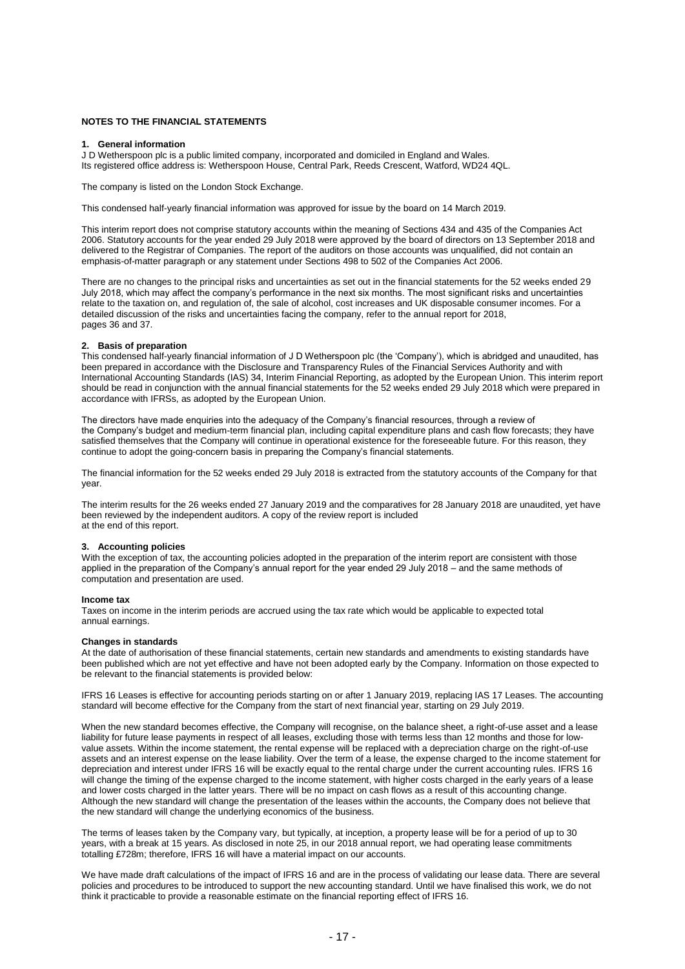## **NOTES TO THE FINANCIAL STATEMENTS**

#### **1. General information**

J D Wetherspoon plc is a public limited company, incorporated and domiciled in England and Wales. Its registered office address is: Wetherspoon House, Central Park, Reeds Crescent, Watford, WD24 4QL.

The company is listed on the London Stock Exchange.

This condensed half-yearly financial information was approved for issue by the board on 14 March 2019.

This interim report does not comprise statutory accounts within the meaning of Sections 434 and 435 of the Companies Act 2006. Statutory accounts for the year ended 29 July 2018 were approved by the board of directors on 13 September 2018 and delivered to the Registrar of Companies. The report of the auditors on those accounts was unqualified, did not contain an emphasis-of-matter paragraph or any statement under Sections 498 to 502 of the Companies Act 2006.

There are no changes to the principal risks and uncertainties as set out in the financial statements for the 52 weeks ended 29 July 2018, which may affect the company's performance in the next six months. The most significant risks and uncertainties relate to the taxation on, and regulation of, the sale of alcohol, cost increases and UK disposable consumer incomes. For a detailed discussion of the risks and uncertainties facing the company, refer to the annual report for 2018, pages 36 and 37.

#### **2. Basis of preparation**

This condensed half-yearly financial information of J D Wetherspoon plc (the 'Company'), which is abridged and unaudited, has been prepared in accordance with the Disclosure and Transparency Rules of the Financial Services Authority and with International Accounting Standards (IAS) 34, Interim Financial Reporting, as adopted by the European Union. This interim report should be read in conjunction with the annual financial statements for the 52 weeks ended 29 July 2018 which were prepared in accordance with IFRSs, as adopted by the European Union.

The directors have made enquiries into the adequacy of the Company's financial resources, through a review of the Company's budget and medium-term financial plan, including capital expenditure plans and cash flow forecasts; they have satisfied themselves that the Company will continue in operational existence for the foreseeable future. For this reason, they continue to adopt the going-concern basis in preparing the Company's financial statements.

The financial information for the 52 weeks ended 29 July 2018 is extracted from the statutory accounts of the Company for that year.

The interim results for the 26 weeks ended 27 January 2019 and the comparatives for 28 January 2018 are unaudited, yet have been reviewed by the independent auditors. A copy of the review report is included at the end of this report.

#### **3. Accounting policies**

With the exception of tax, the accounting policies adopted in the preparation of the interim report are consistent with those applied in the preparation of the Company's annual report for the year ended 29 July 2018 – and the same methods of computation and presentation are used.

#### **Income tax**

Taxes on income in the interim periods are accrued using the tax rate which would be applicable to expected total annual earnings.

#### **Changes in standards**

At the date of authorisation of these financial statements, certain new standards and amendments to existing standards have been published which are not yet effective and have not been adopted early by the Company. Information on those expected to be relevant to the financial statements is provided below:

IFRS 16 Leases is effective for accounting periods starting on or after 1 January 2019, replacing IAS 17 Leases. The accounting standard will become effective for the Company from the start of next financial year, starting on 29 July 2019.

When the new standard becomes effective, the Company will recognise, on the balance sheet, a right-of-use asset and a lease liability for future lease payments in respect of all leases, excluding those with terms less than 12 months and those for lowvalue assets. Within the income statement, the rental expense will be replaced with a depreciation charge on the right-of-use assets and an interest expense on the lease liability. Over the term of a lease, the expense charged to the income statement for depreciation and interest under IFRS 16 will be exactly equal to the rental charge under the current accounting rules. IFRS 16 will change the timing of the expense charged to the income statement, with higher costs charged in the early years of a lease and lower costs charged in the latter years. There will be no impact on cash flows as a result of this accounting change. Although the new standard will change the presentation of the leases within the accounts, the Company does not believe that the new standard will change the underlying economics of the business.

The terms of leases taken by the Company vary, but typically, at inception, a property lease will be for a period of up to 30 years, with a break at 15 years. As disclosed in note 25, in our 2018 annual report, we had operating lease commitments totalling £728m; therefore, IFRS 16 will have a material impact on our accounts.

We have made draft calculations of the impact of IFRS 16 and are in the process of validating our lease data. There are several policies and procedures to be introduced to support the new accounting standard. Until we have finalised this work, we do not think it practicable to provide a reasonable estimate on the financial reporting effect of IFRS 16.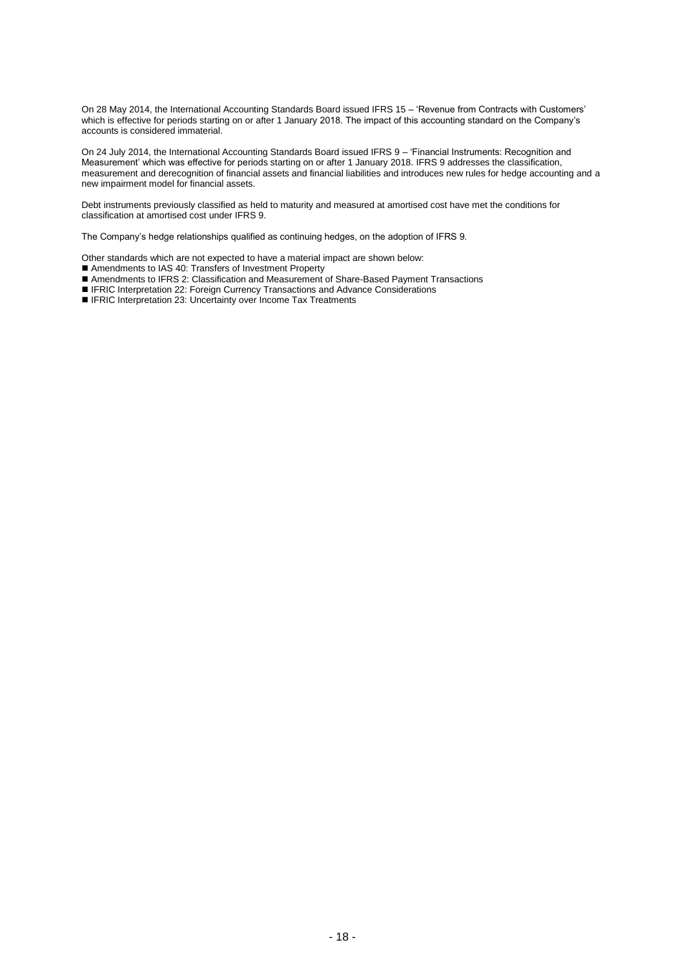On 28 May 2014, the International Accounting Standards Board issued IFRS 15 – 'Revenue from Contracts with Customers' which is effective for periods starting on or after 1 January 2018. The impact of this accounting standard on the Company's accounts is considered immaterial.

On 24 July 2014, the International Accounting Standards Board issued IFRS 9 – 'Financial Instruments: Recognition and Measurement' which was effective for periods starting on or after 1 January 2018. IFRS 9 addresses the classification, measurement and derecognition of financial assets and financial liabilities and introduces new rules for hedge accounting and a new impairment model for financial assets.

Debt instruments previously classified as held to maturity and measured at amortised cost have met the conditions for classification at amortised cost under IFRS 9.

The Company's hedge relationships qualified as continuing hedges, on the adoption of IFRS 9.

Other standards which are not expected to have a material impact are shown below:

- Amendments to IAS 40: Transfers of Investment Property
- Amendments to IFRS 2: Classification and Measurement of Share-Based Payment Transactions
- IFRIC Interpretation 22: Foreign Currency Transactions and Advance Considerations
- **IFRIC Interpretation 23: Uncertainty over Income Tax Treatments**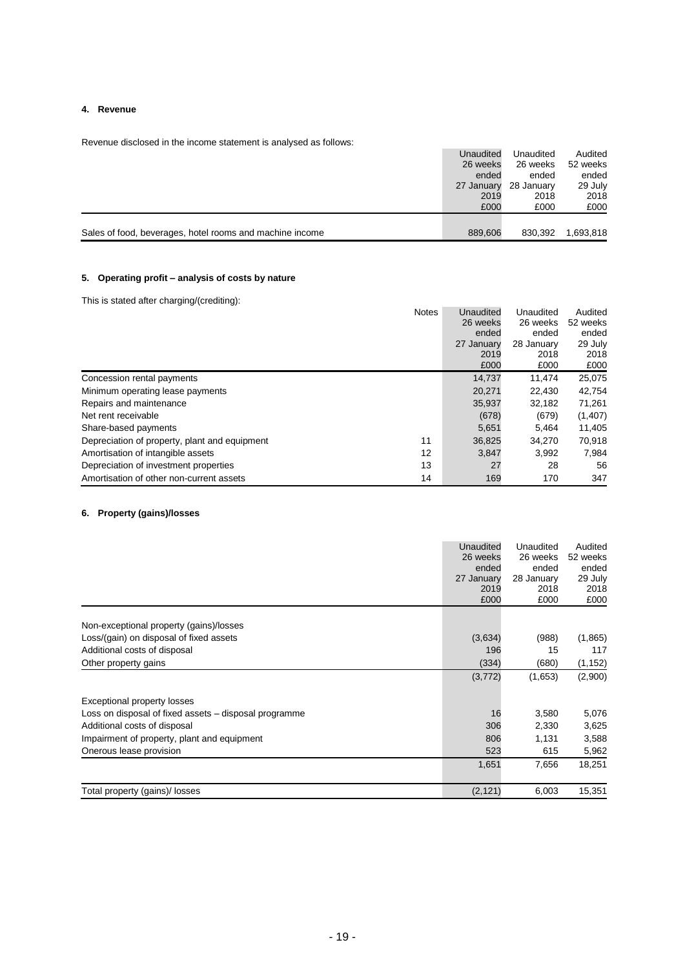# **4. Revenue**

Revenue disclosed in the income statement is analysed as follows:

|                                                          | Unaudited  | Unaudited  | Audited   |
|----------------------------------------------------------|------------|------------|-----------|
|                                                          | 26 weeks   | 26 weeks   | 52 weeks  |
|                                                          | ended      | ended      | ended     |
|                                                          | 27 January | 28 January | 29 July   |
|                                                          | 2019       | 2018       | 2018      |
|                                                          | £000       | £000       | £000      |
|                                                          |            |            |           |
| Sales of food, beverages, hotel rooms and machine income | 889,606    | 830,392    | 1,693,818 |
|                                                          |            |            |           |

# **5. Operating profit – analysis of costs by nature**

This is stated after charging/(crediting):

| <b>Notes</b>                                        | Unaudited  | Unaudited  | Audited  |
|-----------------------------------------------------|------------|------------|----------|
|                                                     | 26 weeks   | 26 weeks   | 52 weeks |
|                                                     | ended      | ended      | ended    |
|                                                     | 27 January | 28 January | 29 July  |
|                                                     | 2019       | 2018       | 2018     |
|                                                     | £000       | £000       | £000     |
| Concession rental payments                          | 14,737     | 11.474     | 25,075   |
| Minimum operating lease payments                    | 20,271     | 22,430     | 42,754   |
| Repairs and maintenance                             | 35,937     | 32.182     | 71,261   |
| Net rent receivable                                 | (678)      | (679)      | (1, 407) |
| Share-based payments                                | 5,651      | 5.464      | 11,405   |
| 11<br>Depreciation of property, plant and equipment | 36,825     | 34,270     | 70,918   |
| Amortisation of intangible assets<br>12             | 3,847      | 3,992      | 7,984    |
| Depreciation of investment properties<br>13         | 27         | 28         | 56       |
| Amortisation of other non-current assets<br>14      | 169        | 170        | 347      |

# **6. Property (gains)/losses**

|                                                       | Unaudited<br>26 weeks<br>ended<br>27 January<br>2019<br>£000 | Unaudited<br>26 weeks<br>ended<br>28 January<br>2018<br>£000 | Audited<br>52 weeks<br>ended<br>29 July<br>2018<br>£000 |
|-------------------------------------------------------|--------------------------------------------------------------|--------------------------------------------------------------|---------------------------------------------------------|
| Non-exceptional property (gains)/losses               |                                                              |                                                              |                                                         |
| Loss/(gain) on disposal of fixed assets               | (3,634)                                                      | (988)                                                        | (1,865)                                                 |
| Additional costs of disposal                          | 196                                                          | 15                                                           | 117                                                     |
| Other property gains                                  | (334)                                                        | (680)                                                        | (1, 152)                                                |
|                                                       | (3, 772)                                                     | (1,653)                                                      | (2,900)                                                 |
| Exceptional property losses                           |                                                              |                                                              |                                                         |
| Loss on disposal of fixed assets - disposal programme | 16                                                           | 3,580                                                        | 5,076                                                   |
| Additional costs of disposal                          | 306                                                          | 2,330                                                        | 3,625                                                   |
| Impairment of property, plant and equipment           | 806                                                          | 1,131                                                        | 3,588                                                   |
| Onerous lease provision                               | 523                                                          | 615                                                          | 5,962                                                   |
|                                                       | 1,651                                                        | 7,656                                                        | 18,251                                                  |
| Total property (gains)/ losses                        | (2, 121)                                                     | 6,003                                                        | 15,351                                                  |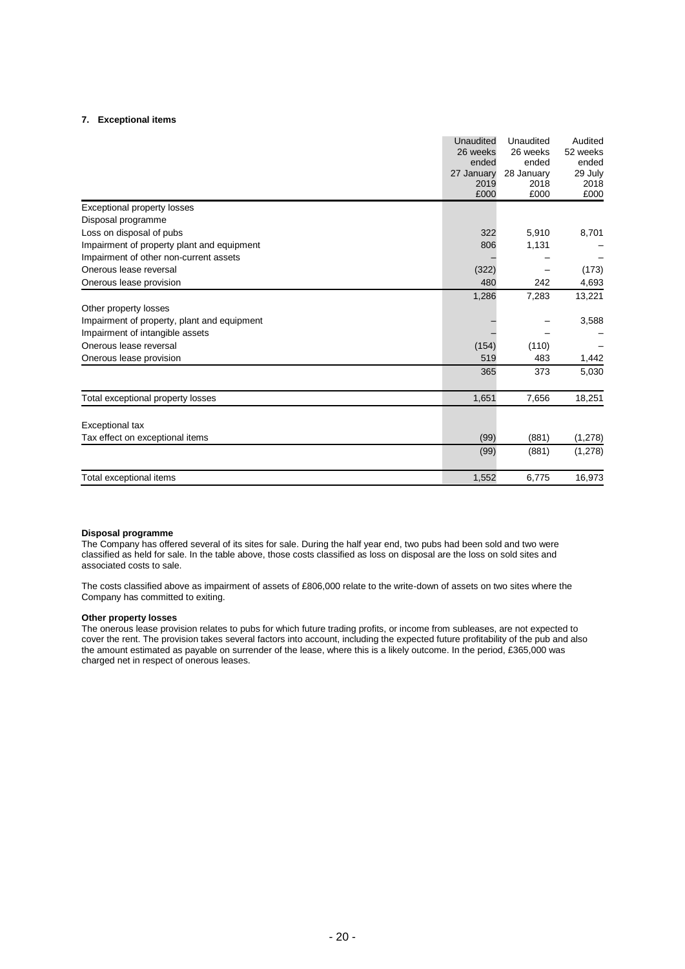# **7. Exceptional items**

|                                             | Unaudited<br>26 weeks<br>ended<br>27 January<br>2019 | Unaudited<br>26 weeks<br>ended<br>28 January<br>2018 | Audited<br>52 weeks<br>ended<br>29 July<br>2018 |
|---------------------------------------------|------------------------------------------------------|------------------------------------------------------|-------------------------------------------------|
|                                             | £000                                                 | £000                                                 | £000                                            |
| <b>Exceptional property losses</b>          |                                                      |                                                      |                                                 |
| Disposal programme                          |                                                      |                                                      |                                                 |
| Loss on disposal of pubs                    | 322                                                  | 5,910                                                | 8,701                                           |
| Impairment of property plant and equipment  | 806                                                  | 1,131                                                |                                                 |
| Impairment of other non-current assets      |                                                      |                                                      |                                                 |
| Onerous lease reversal                      | (322)                                                |                                                      | (173)                                           |
| Onerous lease provision                     | 480                                                  | 242                                                  | 4,693                                           |
| Other property losses                       | 1,286                                                | 7,283                                                | 13,221                                          |
| Impairment of property, plant and equipment |                                                      |                                                      | 3,588                                           |
| Impairment of intangible assets             |                                                      |                                                      |                                                 |
| Onerous lease reversal                      | (154)                                                | (110)                                                |                                                 |
| Onerous lease provision                     | 519                                                  | 483                                                  | 1,442                                           |
|                                             | 365                                                  | 373                                                  | 5,030                                           |
| Total exceptional property losses           | 1,651                                                | 7,656                                                | 18,251                                          |
| <b>Exceptional tax</b>                      |                                                      |                                                      |                                                 |
| Tax effect on exceptional items             | (99)                                                 | (881)                                                | (1, 278)                                        |
|                                             | (99)                                                 | (881)                                                | (1,278)                                         |
| Total exceptional items                     | 1,552                                                | 6,775                                                | 16,973                                          |

#### **Disposal programme**

The Company has offered several of its sites for sale. During the half year end, two pubs had been sold and two were classified as held for sale. In the table above, those costs classified as loss on disposal are the loss on sold sites and associated costs to sale.

The costs classified above as impairment of assets of £806,000 relate to the write-down of assets on two sites where the Company has committed to exiting.

## **Other property losses**

The onerous lease provision relates to pubs for which future trading profits, or income from subleases, are not expected to cover the rent. The provision takes several factors into account, including the expected future profitability of the pub and also the amount estimated as payable on surrender of the lease, where this is a likely outcome. In the period, £365,000 was charged net in respect of onerous leases.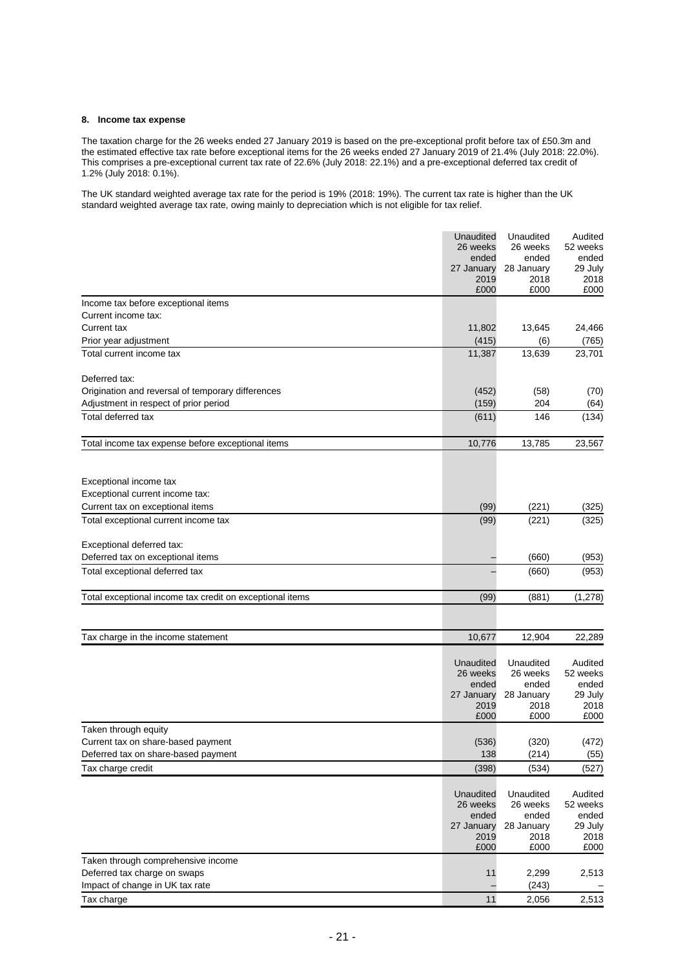# **8. Income tax expense**

The taxation charge for the 26 weeks ended 27 January 2019 is based on the pre-exceptional profit before tax of £50.3m and the estimated effective tax rate before exceptional items for the 26 weeks ended 27 January 2019 of 21.4% (July 2018: 22.0%). This comprises a pre-exceptional current tax rate of 22.6% (July 2018: 22.1%) and a pre-exceptional deferred tax credit of 1.2% (July 2018: 0.1%).

The UK standard weighted average tax rate for the period is 19% (2018: 19%). The current tax rate is higher than the UK standard weighted average tax rate, owing mainly to depreciation which is not eligible for tax relief.

|                                                          | Unaudited<br>26 weeks | Unaudited<br>26 weeks | Audited<br>52 weeks |
|----------------------------------------------------------|-----------------------|-----------------------|---------------------|
|                                                          | ended                 | ended                 | ended               |
|                                                          | 27 January            | 28 January            | 29 July             |
|                                                          | 2019<br>£000          | 2018<br>£000          | 2018<br>£000        |
| Income tax before exceptional items                      |                       |                       |                     |
| Current income tax:                                      |                       |                       |                     |
| Current tax                                              | 11,802                | 13,645                | 24,466              |
| Prior year adjustment                                    | (415)                 | (6)                   | (765)               |
| Total current income tax                                 | 11,387                | 13,639                | 23,701              |
|                                                          |                       |                       |                     |
| Deferred tax:                                            |                       |                       |                     |
| Origination and reversal of temporary differences        | (452)                 | (58)                  | (70)                |
| Adjustment in respect of prior period                    | (159)                 | 204                   | (64)                |
| Total deferred tax                                       | (611)                 | 146                   | (134)               |
|                                                          |                       |                       |                     |
| Total income tax expense before exceptional items        | 10,776                | 13,785                | 23,567              |
|                                                          |                       |                       |                     |
| Exceptional income tax                                   |                       |                       |                     |
| Exceptional current income tax:                          |                       |                       |                     |
| Current tax on exceptional items                         | (99)                  | (221)                 | (325)               |
| Total exceptional current income tax                     | (99)                  | (221)                 | (325)               |
|                                                          |                       |                       |                     |
| Exceptional deferred tax:                                |                       |                       |                     |
| Deferred tax on exceptional items                        |                       | (660)                 | (953)               |
| Total exceptional deferred tax                           |                       | (660)                 | (953)               |
|                                                          |                       |                       |                     |
| Total exceptional income tax credit on exceptional items | (99)                  | (881)                 | (1, 278)            |
|                                                          |                       |                       |                     |
| Tax charge in the income statement                       | 10,677                | 12,904                | 22,289              |
|                                                          |                       |                       |                     |
|                                                          | Unaudited             | Unaudited             | Audited             |
|                                                          | 26 weeks              | 26 weeks              | 52 weeks            |
|                                                          | ended                 | ended                 | ended               |
|                                                          | 27 January            | 28 January            | 29 July             |
|                                                          | 2019<br>£000          | 2018<br>£000          | 2018<br>£000        |
| Taken through equity                                     |                       |                       |                     |
| Current tax on share-based payment                       | (536)                 | (320)                 | (472)               |
| Deferred tax on share-based payment                      | 138                   | (214)                 | (55)                |
| Tax charge credit                                        | (398)                 | (534)                 | (527)               |
|                                                          |                       |                       |                     |
|                                                          | Unaudited             | Unaudited             | Audited             |
|                                                          | 26 weeks              | 26 weeks              | 52 weeks            |
|                                                          | ended                 | ended                 | ended               |
|                                                          | 27 January            | 28 January            | 29 July             |
|                                                          | 2019<br>£000          | 2018<br>£000          | 2018<br>£000        |
| Taken through comprehensive income                       |                       |                       |                     |
| Deferred tax charge on swaps                             | 11                    | 2,299                 | 2,513               |
| Impact of change in UK tax rate                          |                       | (243)                 |                     |
| Tax charge                                               | $11$                  | 2,056                 | 2,513               |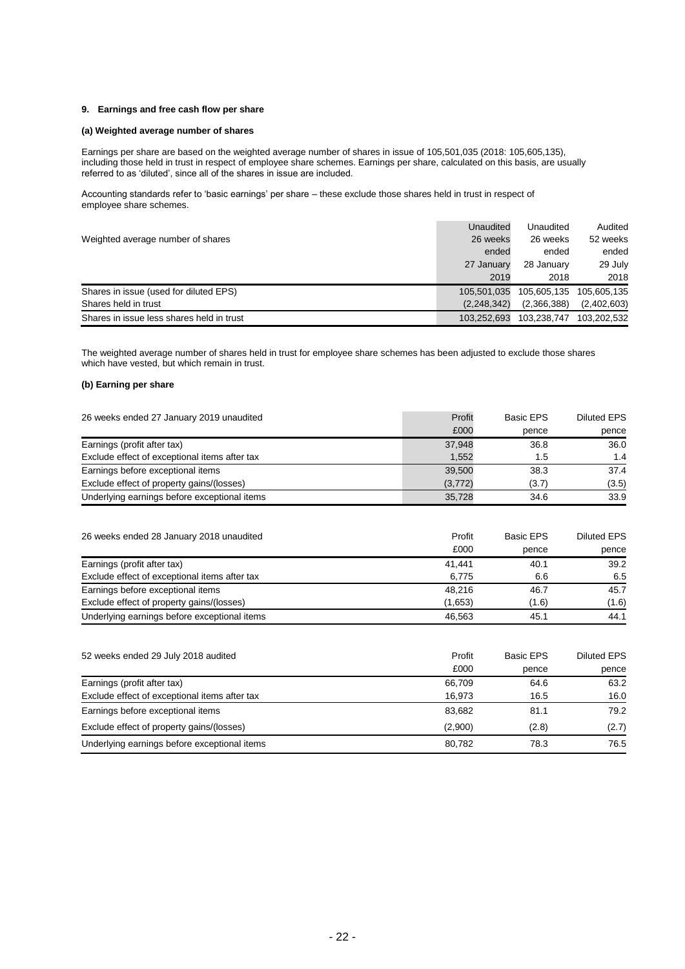# **9. Earnings and free cash flow per share**

## **(a) Weighted average number of shares**

Earnings per share are based on the weighted average number of shares in issue of 105,501,035 (2018: 105,605,135), including those held in trust in respect of employee share schemes. Earnings per share, calculated on this basis, are usually referred to as 'diluted', since all of the shares in issue are included.

Accounting standards refer to 'basic earnings' per share – these exclude those shares held in trust in respect of employee share schemes.

|                                           | Unaudited   | Unaudited   | Audited                 |
|-------------------------------------------|-------------|-------------|-------------------------|
| Weighted average number of shares         | 26 weeks    | 26 weeks    | 52 weeks                |
|                                           | ended       | ended       | ended                   |
|                                           | 27 January  | 28 January  | 29 July                 |
|                                           | 2019        | 2018        | 2018                    |
| Shares in issue (used for diluted EPS)    | 105.501.035 |             | 105,605,135 105,605,135 |
| Shares held in trust                      | (2.248.342) | (2.366.388) | (2,402,603)             |
| Shares in issue less shares held in trust | 103.252.693 | 103.238.747 | 103.202.532             |

The weighted average number of shares held in trust for employee share schemes has been adjusted to exclude those shares which have vested, but which remain in trust.

# **(b) Earning per share**

| 26 weeks ended 27 January 2019 unaudited      | Profit  | Basic EPS | <b>Diluted EPS</b> |
|-----------------------------------------------|---------|-----------|--------------------|
|                                               | £000    | pence     | pence              |
| Earnings (profit after tax)                   | 37,948  | 36.8      | 36.0               |
| Exclude effect of exceptional items after tax | 1.552   | 1.5       | 1.4                |
| Earnings before exceptional items             | 39,500  | 38.3      | 37.4               |
| Exclude effect of property gains/(losses)     | (3,772) | (3.7)     | (3.5)              |
| Underlying earnings before exceptional items  | 35,728  | 34.6      | 33.9               |

| 26 weeks ended 28 January 2018 unaudited      | Profit  | Basic EPS | Diluted EPS |
|-----------------------------------------------|---------|-----------|-------------|
|                                               | £000    | pence     | pence       |
| Earnings (profit after tax)                   | 41.441  | 40.1      | 39.2        |
| Exclude effect of exceptional items after tax | 6.775   | 6.6       | 6.5         |
| Earnings before exceptional items             | 48.216  | 46.7      | 45.7        |
| Exclude effect of property gains/(losses)     | (1,653) | (1.6)     | (1.6)       |
| Underlying earnings before exceptional items  | 46.563  | 45.1      | 44.1        |

| 52 weeks ended 29 July 2018 audited           | Profit  | Basic EPS<br><b>Diluted EPS</b> |       |  |
|-----------------------------------------------|---------|---------------------------------|-------|--|
|                                               | £000    | pence                           | pence |  |
| Earnings (profit after tax)                   | 66.709  | 64.6                            | 63.2  |  |
| Exclude effect of exceptional items after tax | 16.973  | 16.5                            | 16.0  |  |
| Earnings before exceptional items             | 83.682  | 81.1                            | 79.2  |  |
| Exclude effect of property gains/(losses)     | (2,900) | (2.8)                           | (2.7) |  |
| Underlying earnings before exceptional items  | 80.782  | 78.3                            | 76.5  |  |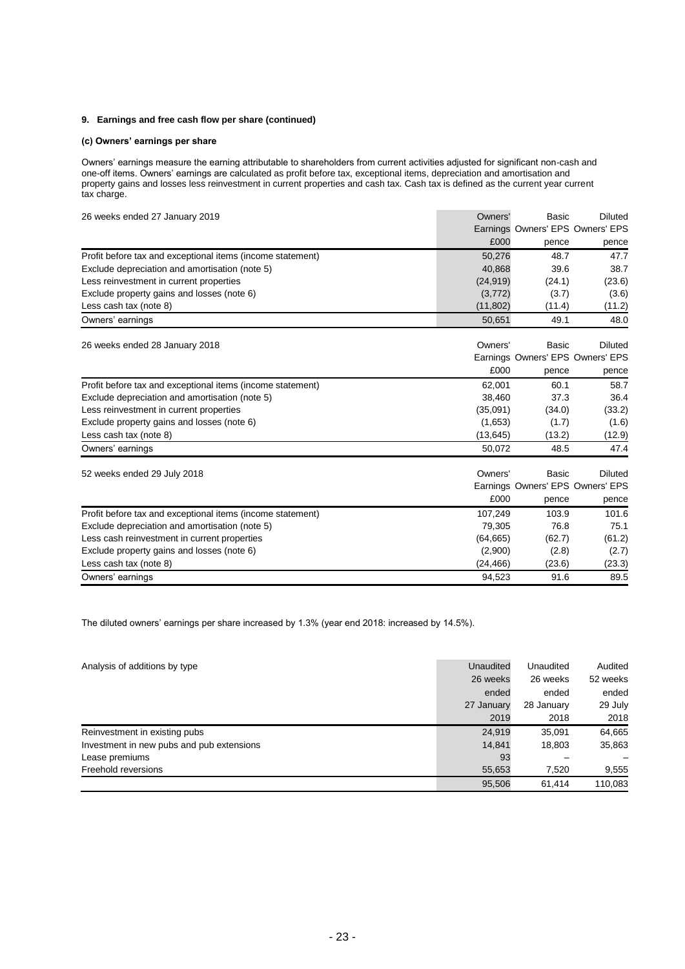# **9. Earnings and free cash flow per share (continued)**

# **(c) Owners' earnings per share**

Owners' earnings measure the earning attributable to shareholders from current activities adjusted for significant non-cash and one-off items. Owners' earnings are calculated as profit before tax, exceptional items, depreciation and amortisation and property gains and losses less reinvestment in current properties and cash tax. Cash tax is defined as the current year current tax charge.

| 26 weeks ended 27 January 2019                             | Owners'   | Basic  | <b>Diluted</b>                   |
|------------------------------------------------------------|-----------|--------|----------------------------------|
|                                                            |           |        | Earnings Owners' EPS Owners' EPS |
|                                                            | £000      | pence  | pence                            |
| Profit before tax and exceptional items (income statement) | 50,276    | 48.7   | 47.7                             |
| Exclude depreciation and amortisation (note 5)             | 40,868    | 39.6   | 38.7                             |
| Less reinvestment in current properties                    | (24, 919) | (24.1) | (23.6)                           |
| Exclude property gains and losses (note 6)                 | (3,772)   | (3.7)  | (3.6)                            |
| Less cash tax (note 8)                                     | (11, 802) | (11.4) | (11.2)                           |
| Owners' earnings                                           | 50,651    | 49.1   | 48.0                             |
| 26 weeks ended 28 January 2018                             | Owners'   | Basic  | <b>Diluted</b>                   |
|                                                            |           |        | Earnings Owners' EPS Owners' EPS |
|                                                            | £000      | pence  | pence                            |
| Profit before tax and exceptional items (income statement) | 62,001    | 60.1   | 58.7                             |
| Exclude depreciation and amortisation (note 5)             | 38.460    | 37.3   | 36.4                             |
| Less reinvestment in current properties                    | (35,091)  | (34.0) | (33.2)                           |
| Exclude property gains and losses (note 6)                 | (1,653)   | (1.7)  | (1.6)                            |
| Less cash tax (note 8)                                     | (13, 645) | (13.2) | (12.9)                           |
| Owners' earnings                                           | 50,072    | 48.5   | 47.4                             |
| 52 weeks ended 29 July 2018                                | Owners'   | Basic  | <b>Diluted</b>                   |
|                                                            |           |        | Earnings Owners' EPS Owners' EPS |
|                                                            | £000      | pence  | pence                            |
| Profit before tax and exceptional items (income statement) | 107,249   | 103.9  | 101.6                            |
| Exclude depreciation and amortisation (note 5)             | 79,305    | 76.8   | 75.1                             |
| Less cash reinvestment in current properties               | (64, 665) | (62.7) | (61.2)                           |
| Exclude property gains and losses (note 6)                 | (2,900)   | (2.8)  | (2.7)                            |
| Less cash tax (note 8)                                     | (24, 466) | (23.6) | (23.3)                           |
| Owners' earnings                                           | 94,523    | 91.6   | 89.5                             |

The diluted owners' earnings per share increased by 1.3% (year end 2018: increased by 14.5%).

| Analysis of additions by type             | Unaudited  | Unaudited  | Audited  |
|-------------------------------------------|------------|------------|----------|
|                                           | 26 weeks   | 26 weeks   | 52 weeks |
|                                           | ended      | ended      | ended    |
|                                           | 27 January | 28 January | 29 July  |
|                                           | 2019       | 2018       | 2018     |
| Reinvestment in existing pubs             | 24.919     | 35.091     | 64,665   |
| Investment in new pubs and pub extensions | 14,841     | 18.803     | 35,863   |
| Lease premiums                            | 93         |            |          |
| Freehold reversions                       | 55,653     | 7,520      | 9,555    |
|                                           | 95,506     | 61.414     | 110.083  |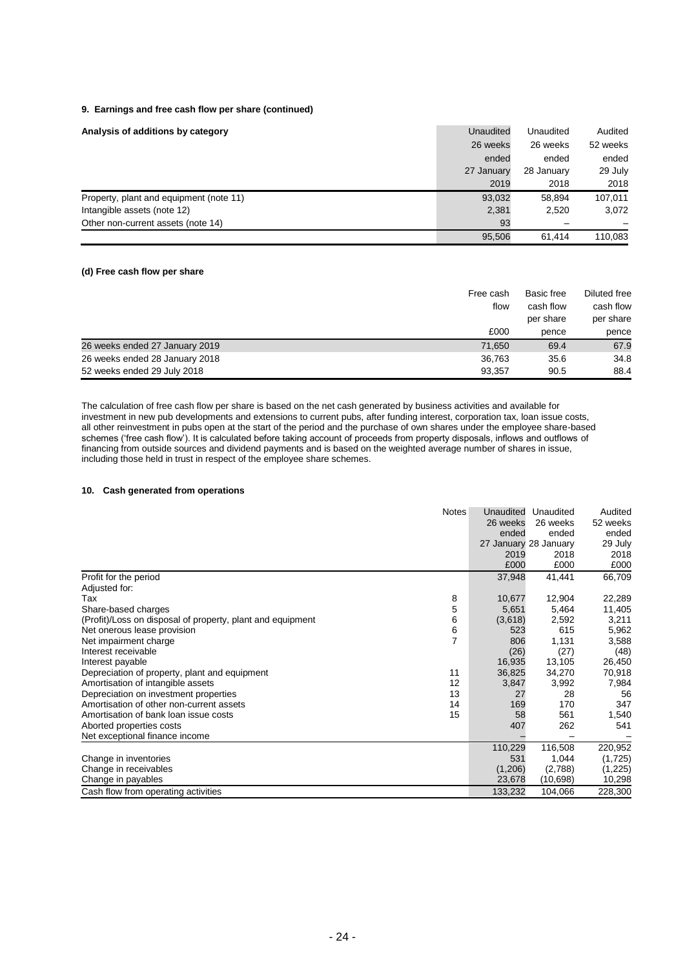# **9. Earnings and free cash flow per share (continued)**

| Analysis of additions by category       | Unaudited  | Unaudited  | Audited  |
|-----------------------------------------|------------|------------|----------|
|                                         | 26 weeks   | 26 weeks   | 52 weeks |
|                                         | ended      | ended      | ended    |
|                                         | 27 January | 28 January | 29 July  |
|                                         | 2019       | 2018       | 2018     |
| Property, plant and equipment (note 11) | 93,032     | 58.894     | 107.011  |
| Intangible assets (note 12)             | 2,381      | 2,520      | 3.072    |
| Other non-current assets (note 14)      | 93         |            |          |
|                                         | 95,506     | 61.414     | 110.083  |

# **(d) Free cash flow per share**

|                                | Free cash<br>flow | Basic free<br>cash flow<br>per share | Diluted free<br>cash flow<br>per share |
|--------------------------------|-------------------|--------------------------------------|----------------------------------------|
|                                | £000              | pence                                | pence                                  |
| 26 weeks ended 27 January 2019 | 71,650            | 69.4                                 | 67.9                                   |
| 26 weeks ended 28 January 2018 | 36.763            | 35.6                                 | 34.8                                   |
| 52 weeks ended 29 July 2018    | 93,357            | 90.5                                 | 88.4                                   |

The calculation of free cash flow per share is based on the net cash generated by business activities and available for investment in new pub developments and extensions to current pubs, after funding interest, corporation tax, loan issue costs, all other reinvestment in pubs open at the start of the period and the purchase of own shares under the employee share-based schemes ('free cash flow'). It is calculated before taking account of proceeds from property disposals, inflows and outflows of financing from outside sources and dividend payments and is based on the weighted average number of shares in issue, including those held in trust in respect of the employee share schemes.

#### **10. Cash generated from operations**

|                                                            | <b>Notes</b>   | Unaudited             | Unaudited | Audited  |
|------------------------------------------------------------|----------------|-----------------------|-----------|----------|
|                                                            |                | 26 weeks              | 26 weeks  | 52 weeks |
|                                                            |                | ended                 | ended     | ended    |
|                                                            |                | 27 January 28 January |           | 29 July  |
|                                                            |                | 2019                  | 2018      | 2018     |
|                                                            |                | £000                  | £000      | £000     |
| Profit for the period                                      |                | 37,948                | 41,441    | 66,709   |
| Adjusted for:                                              |                |                       |           |          |
| Tax                                                        | 8              | 10,677                | 12,904    | 22,289   |
| Share-based charges                                        | 5              | 5,651                 | 5,464     | 11,405   |
| (Profit)/Loss on disposal of property, plant and equipment | 6              | (3,618)               | 2,592     | 3,211    |
| Net onerous lease provision                                | 6              | 523                   | 615       | 5,962    |
| Net impairment charge                                      | $\overline{7}$ | 806                   | 1,131     | 3,588    |
| Interest receivable                                        |                | (26)                  | (27)      | (48)     |
| Interest payable                                           |                | 16,935                | 13,105    | 26,450   |
| Depreciation of property, plant and equipment              | 11             | 36,825                | 34,270    | 70,918   |
| Amortisation of intangible assets                          | 12             | 3,847                 | 3,992     | 7,984    |
| Depreciation on investment properties                      | 13             | 27                    | 28        | 56       |
| Amortisation of other non-current assets                   | 14             | 169                   | 170       | 347      |
| Amortisation of bank loan issue costs                      | 15             | 58                    | 561       | 1,540    |
| Aborted properties costs                                   |                | 407                   | 262       | 541      |
| Net exceptional finance income                             |                |                       |           |          |
|                                                            |                | 110,229               | 116,508   | 220,952  |
| Change in inventories                                      |                | 531                   | 1,044     | (1,725)  |
| Change in receivables                                      |                | (1,206)               | (2,788)   | (1,225)  |
| Change in payables                                         |                | 23,678                | (10,698)  | 10,298   |
| Cash flow from operating activities                        |                | 133,232               | 104,066   | 228,300  |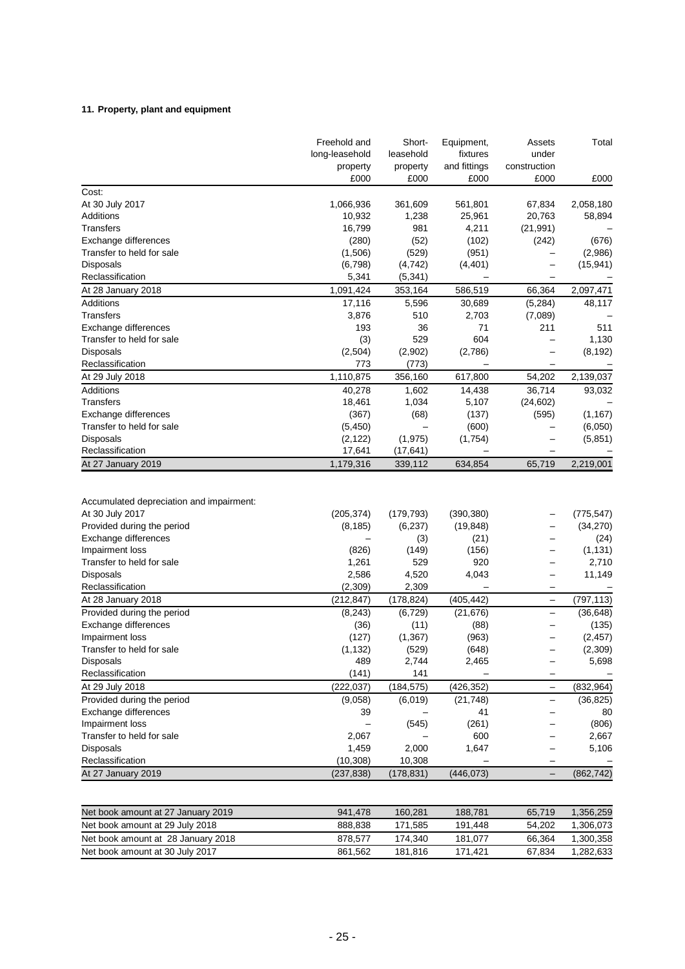# **11. Property, plant and equipment**

|                                          | Freehold and     | Short-           | Equipment,           | Assets                   | Total      |
|------------------------------------------|------------------|------------------|----------------------|--------------------------|------------|
|                                          | long-leasehold   | leasehold        | fixtures             | under                    |            |
|                                          | property<br>£000 | property<br>£000 | and fittings<br>£000 | construction<br>£000     | £000       |
|                                          |                  |                  |                      |                          |            |
| Cost:                                    |                  |                  |                      |                          |            |
| At 30 July 2017                          | 1,066,936        | 361,609          | 561,801              | 67,834                   | 2,058,180  |
| Additions                                | 10,932           | 1,238            | 25,961               | 20,763                   | 58,894     |
| <b>Transfers</b>                         | 16,799           | 981              | 4,211                | (21, 991)                |            |
| Exchange differences                     | (280)            | (52)             | (102)                | (242)                    | (676)      |
| Transfer to held for sale                | (1,506)          | (529)            | (951)                |                          | (2,986)    |
| <b>Disposals</b><br>Reclassification     | (6,798)          | (4, 742)         | (4, 401)             |                          | (15, 941)  |
|                                          | 5,341            | (5, 341)         |                      |                          |            |
| At 28 January 2018                       | 1,091,424        | 353,164          | 586,519              | 66,364                   | 2,097,471  |
| Additions                                | 17,116           | 5,596            | 30,689               | (5,284)                  | 48,117     |
| <b>Transfers</b>                         | 3,876            | 510              | 2,703                | (7,089)                  |            |
| Exchange differences                     | 193              | 36               | 71                   | 211                      | 511        |
| Transfer to held for sale                | (3)              | 529              | 604                  |                          | 1,130      |
| Disposals                                | (2,504)          | (2,902)          | (2,786)              |                          | (8, 192)   |
| Reclassification                         | 773              | (773)            |                      |                          |            |
| At 29 July 2018                          | 1,110,875        | 356,160          | 617,800              | 54,202                   | 2,139,037  |
| Additions                                | 40,278           | 1,602            | 14,438               | 36,714                   | 93,032     |
| <b>Transfers</b>                         | 18,461           | 1,034            | 5,107                | (24, 602)                |            |
| Exchange differences                     | (367)            | (68)             | (137)                | (595)                    | (1, 167)   |
| Transfer to held for sale                | (5, 450)         |                  | (600)                |                          | (6,050)    |
| Disposals                                | (2, 122)         | (1, 975)         | (1,754)              |                          | (5,851)    |
| Reclassification                         | 17,641           | (17, 641)        |                      |                          |            |
| At 27 January 2019                       | 1,179,316        | 339,112          | 634,854              | 65,719                   | 2,219,001  |
|                                          |                  |                  |                      |                          |            |
| Accumulated depreciation and impairment: |                  |                  |                      |                          |            |
| At 30 July 2017                          | (205, 374)       | (179, 793)       | (390, 380)           |                          | (775, 547) |
| Provided during the period               | (8, 185)         | (6, 237)         | (19, 848)            |                          | (34, 270)  |
| Exchange differences                     |                  |                  | (21)                 |                          | (24)       |
| Impairment loss                          | (826)            | (3)<br>(149)     | (156)                | —                        | (1, 131)   |
| Transfer to held for sale                | 1,261            | 529              | 920                  |                          | 2,710      |
| Disposals                                | 2,586            | 4,520            | 4,043                | —                        | 11,149     |
| Reclassification                         | (2,309)          | 2,309            |                      |                          |            |
| At 28 January 2018                       | (212, 847)       | (178, 824)       | (405, 442)           | $\overline{\phantom{0}}$ | (797, 113) |
| Provided during the period               | (8, 243)         | (6, 729)         | (21, 676)            | $\qquad \qquad -$        | (36, 648)  |
| Exchange differences                     | (36)             | (11)             | (88)                 |                          | (135)      |
| Impairment loss                          | (127)            | (1, 367)         | (963)                |                          | (2, 457)   |
| Transfer to held for sale                | (1, 132)         | (529)            | (648)                |                          | (2, 309)   |
| Disposals                                | 489              | 2,744            | 2,465                |                          | 5,698      |
| Reclassification                         | (141)            | 141              |                      |                          |            |
| At 29 July 2018                          | (222, 037)       | (184, 575)       | (426, 352)           |                          | (832, 964) |
| Provided during the period               | (9,058)          | (6,019)          | (21, 748)            |                          | (36, 825)  |
| Exchange differences                     | 39               |                  | 41                   |                          | 80         |
| Impairment loss                          |                  | (545)            | (261)                |                          | (806)      |
| Transfer to held for sale                | 2,067            |                  | 600                  |                          | 2,667      |
| Disposals                                | 1,459            | 2,000            | 1,647                |                          | 5,106      |
| Reclassification                         | (10, 308)        | 10,308           |                      |                          |            |
| At 27 January 2019                       | (237, 838)       | (178, 831)       | (446, 073)           |                          | (862, 742) |
|                                          |                  |                  |                      |                          |            |

| Net book amount at 27 January 2019 | 941.478 | 160.281 | 188.781 | 65.719 | 1.356.259 |
|------------------------------------|---------|---------|---------|--------|-----------|
| Net book amount at 29 July 2018    | 888.838 | 171.585 | 191.448 | 54.202 | 1.306.073 |
| Net book amount at 28 January 2018 | 878.577 | 174.340 | 181.077 | 66.364 | 1.300.358 |
| Net book amount at 30 July 2017    | 861.562 | 181.816 | 171.421 | 67.834 | 1.282.633 |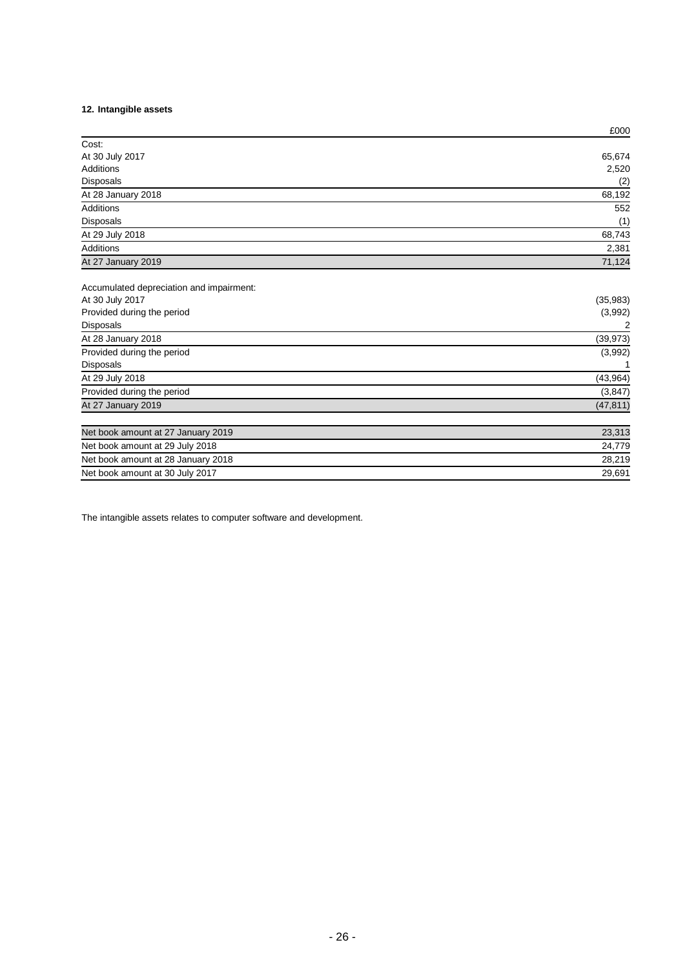# **12. Intangible assets**

|                                          | £000      |
|------------------------------------------|-----------|
| Cost:                                    |           |
| At 30 July 2017                          | 65,674    |
| Additions                                | 2,520     |
| <b>Disposals</b>                         | (2)       |
| At 28 January 2018                       | 68,192    |
| Additions                                | 552       |
| <b>Disposals</b>                         | (1)       |
| At 29 July 2018                          | 68,743    |
| <b>Additions</b>                         | 2,381     |
| At 27 January 2019                       | 71,124    |
| Accumulated depreciation and impairment: |           |
| At 30 July 2017                          | (35,983)  |
| Provided during the period               | (3,992)   |
| Disposals                                | 2         |
| At 28 January 2018                       | (39, 973) |
| Provided during the period               | (3,992)   |
| Disposals                                |           |
| At 29 July 2018                          | (43,964)  |
| Provided during the period               | (3, 847)  |
| At 27 January 2019                       | (47, 811) |
| Net book amount at 27 January 2019       | 23,313    |
| Net book amount at 29 July 2018          | 24,779    |
| Net book amount at 28 January 2018       | 28,219    |
| Net book amount at 30 July 2017          | 29,691    |

The intangible assets relates to computer software and development.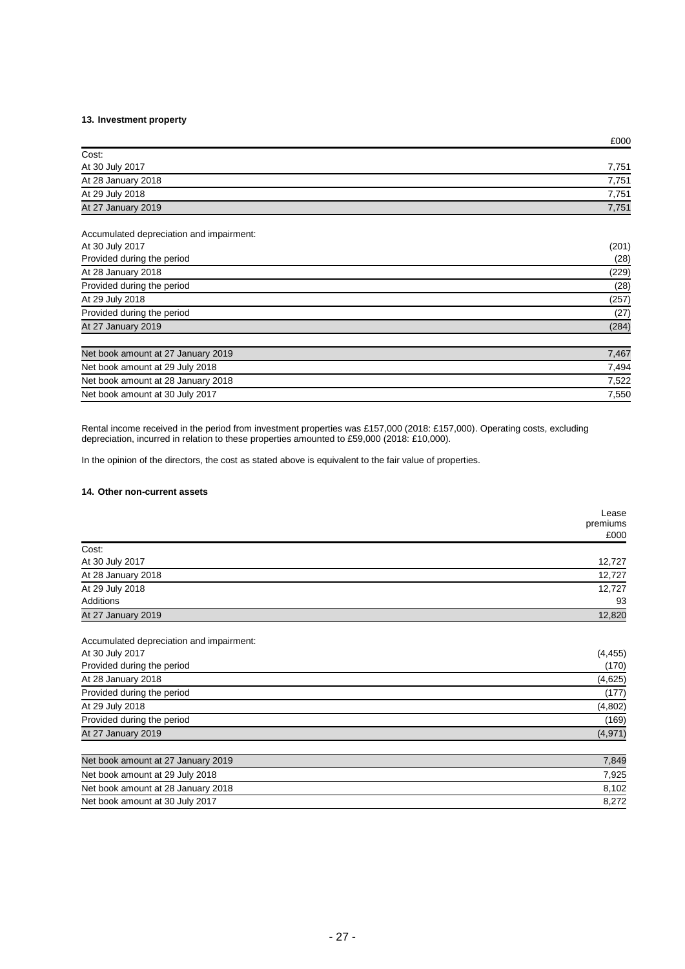# **13. Investment property**

|                    | £000  |
|--------------------|-------|
| Cost:              |       |
| At 30 July 2017    | 7,751 |
| At 28 January 2018 | 7,751 |
| At 29 July 2018    | 7,751 |
| At 27 January 2019 | 7,751 |

Accumulated depreciation and impairment:

| At 30 July 2017                    | (201) |
|------------------------------------|-------|
| Provided during the period         | (28)  |
| At 28 January 2018                 | (229) |
| Provided during the period         | (28)  |
| At 29 July 2018                    | (257) |
| Provided during the period         | (27)  |
| At 27 January 2019                 | (284) |
| Net book amount at 27 January 2019 | 7,467 |
| Net book amount at 29 July 2018    | 7,494 |
| Net book amount at 28 January 2018 | 7,522 |
| Net book amount at 30 July 2017    | 7,550 |

Rental income received in the period from investment properties was £157,000 (2018: £157,000). Operating costs, excluding depreciation, incurred in relation to these properties amounted to £59,000 (2018: £10,000).

In the opinion of the directors, the cost as stated above is equivalent to the fair value of properties.

## **14. Other non-current assets**

|                                          | Lease    |
|------------------------------------------|----------|
|                                          | premiums |
|                                          | £000     |
| Cost:                                    |          |
| At 30 July 2017                          | 12,727   |
| At 28 January 2018                       | 12,727   |
| At 29 July 2018                          | 12,727   |
| Additions                                | 93       |
| At 27 January 2019                       | 12,820   |
| Accumulated depreciation and impairment: |          |
| At 30 July 2017                          | (4, 455) |
| Provided during the period               | (170)    |
| At 28 January 2018                       | (4,625)  |
| Provided during the period               | (177)    |
| At 29 July 2018                          | (4,802)  |
| Provided during the period               | (169)    |
| At 27 January 2019                       | (4, 971) |
| Net book amount at 27 January 2019       | 7,849    |
| Net book amount at 29 July 2018          | 7,925    |
| Net book amount at 28 January 2018       | 8,102    |
| Net book amount at 30 July 2017          | 8,272    |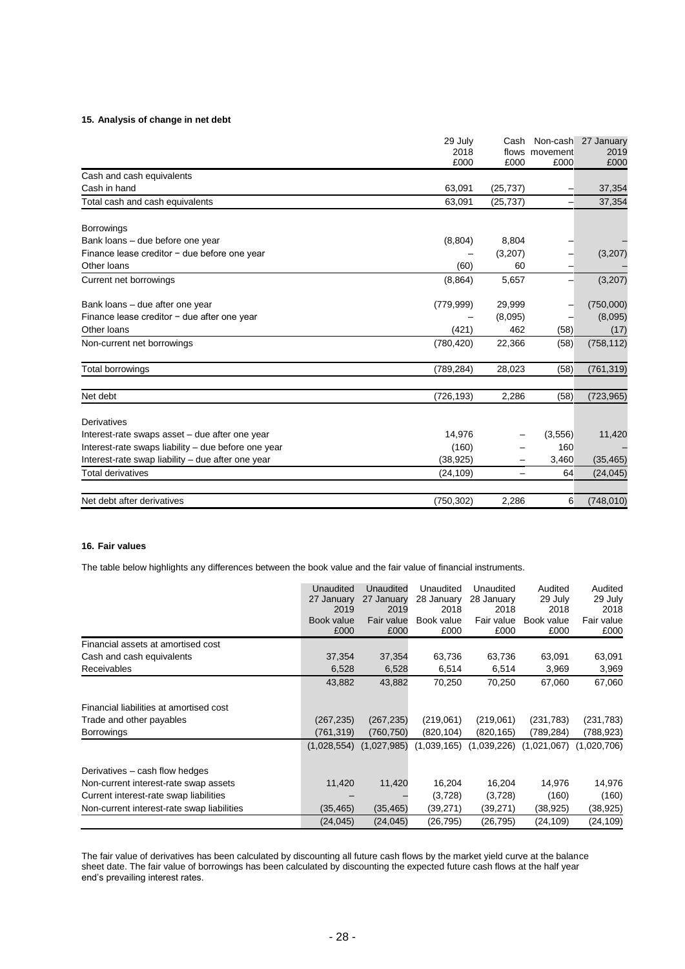# **15. Analysis of change in net debt**

|                                                     | 29 July    | Cash      | Non-cash       | 27 January |
|-----------------------------------------------------|------------|-----------|----------------|------------|
|                                                     | 2018       |           | flows movement | 2019       |
|                                                     | £000       | £000      | £000           | £000       |
| Cash and cash equivalents                           |            |           |                |            |
| Cash in hand                                        | 63,091     | (25, 737) |                | 37,354     |
| Total cash and cash equivalents                     | 63,091     | (25, 737) |                | 37,354     |
| <b>Borrowings</b>                                   |            |           |                |            |
| Bank loans - due before one year                    | (8,804)    | 8,804     |                |            |
| Finance lease creditor - due before one year        |            | (3,207)   |                | (3, 207)   |
| Other loans                                         | (60)       | 60        |                |            |
| Current net borrowings                              | (8,864)    | 5,657     |                | (3,207)    |
| Bank loans - due after one year                     | (779, 999) | 29,999    |                | (750,000)  |
| Finance lease creditor - due after one year         |            | (8,095)   |                | (8,095)    |
| Other loans                                         | (421)      | 462       | (58)           | (17)       |
| Non-current net borrowings                          | (780, 420) | 22,366    | (58)           | (758, 112) |
| Total borrowings                                    | (789,284)  | 28,023    | (58)           | (761, 319) |
| Net debt                                            | (726, 193) | 2,286     | (58)           | (723, 965) |
| Derivatives                                         |            |           |                |            |
| Interest-rate swaps asset - due after one year      | 14,976     |           | (3,556)        | 11,420     |
| Interest-rate swaps liability - due before one year | (160)      |           | 160            |            |
| Interest-rate swap liability - due after one year   | (38, 925)  |           | 3,460          | (35, 465)  |
| Total derivatives                                   | (24, 109)  | —         | 64             | (24, 045)  |
| Net debt after derivatives                          | (750, 302) | 2,286     | 6              | (748, 010) |

#### **16. Fair values**

The table below highlights any differences between the book value and the fair value of financial instruments.

|                                            | <b>Unaudited</b><br>27 January | Unaudited<br>27 January | Unaudited<br>28 January | Unaudited<br>28 January | Audited<br>29 July | Audited<br>29 July |
|--------------------------------------------|--------------------------------|-------------------------|-------------------------|-------------------------|--------------------|--------------------|
|                                            | 2019                           | 2019                    | 2018                    | 2018                    | 2018               | 2018               |
|                                            | Book value                     | Fair value              | Book value              | Fair value              | Book value         | Fair value         |
|                                            | £000                           | £000                    | £000                    | £000                    | £000               | £000               |
| Financial assets at amortised cost         |                                |                         |                         |                         |                    |                    |
| Cash and cash equivalents                  | 37,354                         | 37,354                  | 63,736                  | 63,736                  | 63,091             | 63,091             |
| <b>Receivables</b>                         | 6,528                          | 6,528                   | 6,514                   | 6,514                   | 3,969              | 3,969              |
|                                            | 43,882                         | 43,882                  | 70,250                  | 70,250                  | 67,060             | 67,060             |
| Financial liabilities at amortised cost    |                                |                         |                         |                         |                    |                    |
| Trade and other payables                   | (267, 235)                     | (267, 235)              | (219,061)               | (219,061)               | (231,783)          | (231, 783)         |
| <b>Borrowings</b>                          | (761, 319)                     | (760,750)               | (820, 104)              | (820, 165)              | (789,284)          | (788, 923)         |
|                                            | (1,028,554)                    | (1,027,985)             | (1,039,165)             | (1,039,226)             | (1,021,067)        | (1.020, 706)       |
| Derivatives – cash flow hedges             |                                |                         |                         |                         |                    |                    |
| Non-current interest-rate swap assets      | 11,420                         | 11,420                  | 16,204                  | 16,204                  | 14,976             | 14,976             |
| Current interest-rate swap liabilities     |                                |                         | (3,728)                 | (3,728)                 | (160)              | (160)              |
| Non-current interest-rate swap liabilities | (35, 465)                      | (35, 465)               | (39,271)                | (39,271)                | (38, 925)          | (38,925)           |
|                                            | (24, 045)                      | (24, 045)               | (26,795)                | (26,795)                | (24, 109)          | (24, 109)          |

The fair value of derivatives has been calculated by discounting all future cash flows by the market yield curve at the balance sheet date. The fair value of borrowings has been calculated by discounting the expected future cash flows at the half year end's prevailing interest rates.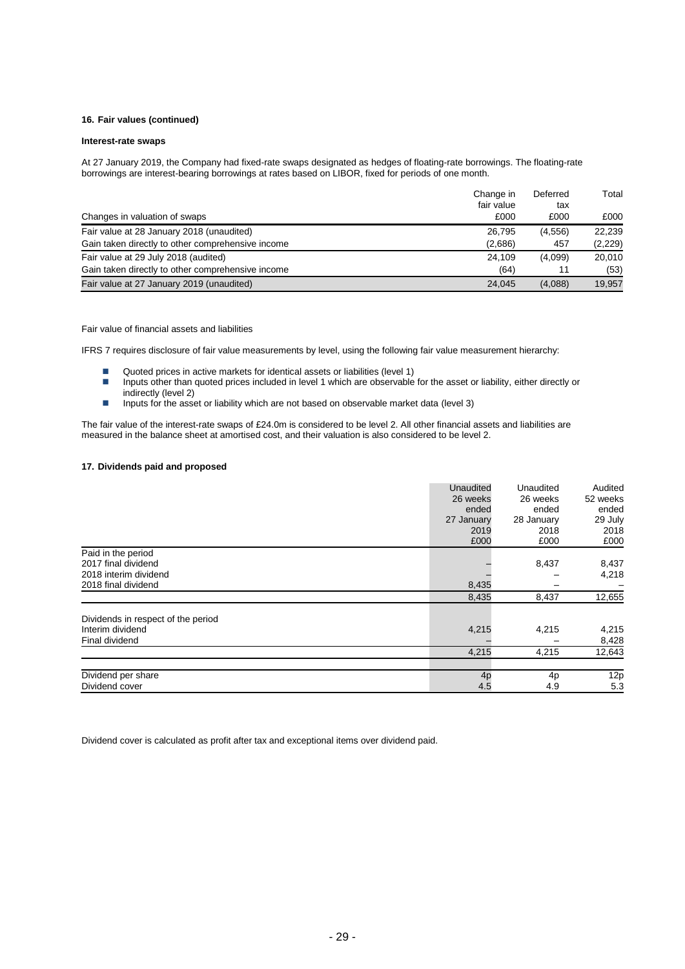# **16. Fair values (continued)**

#### **Interest-rate swaps**

At 27 January 2019, the Company had fixed-rate swaps designated as hedges of floating-rate borrowings. The floating-rate borrowings are interest-bearing borrowings at rates based on LIBOR, fixed for periods of one month.

|                                                   | Change in<br>fair value | Deferred<br>tax | Total   |
|---------------------------------------------------|-------------------------|-----------------|---------|
| Changes in valuation of swaps                     | £000                    | £000            | £000    |
| Fair value at 28 January 2018 (unaudited)         | 26.795                  | (4,556)         | 22.239  |
| Gain taken directly to other comprehensive income | (2,686)                 | 457             | (2,229) |
| Fair value at 29 July 2018 (audited)              | 24.109                  | (4.099)         | 20,010  |
| Gain taken directly to other comprehensive income | (64)                    | 11              | (53)    |
| Fair value at 27 January 2019 (unaudited)         | 24.045                  | (4,088)         | 19.957  |

#### Fair value of financial assets and liabilities

IFRS 7 requires disclosure of fair value measurements by level, using the following fair value measurement hierarchy:

- Quoted prices in active markets for identical assets or liabilities (level 1)<br>In line observable increased prices included in level 1 which are observable
- Inputs other than quoted prices included in level 1 which are observable for the asset or liability, either directly or indirectly (level 2)
- Inputs for the asset or liability which are not based on observable market data (level 3)

The fair value of the interest-rate swaps of £24.0m is considered to be level 2. All other financial assets and liabilities are measured in the balance sheet at amortised cost, and their valuation is also considered to be level 2.

#### **17. Dividends paid and proposed**

|                                    | Unaudited<br>26 weeks<br>ended<br>27 January | Unaudited<br>26 weeks<br>ended<br>28 January | Audited<br>52 weeks<br>ended<br>29 July |
|------------------------------------|----------------------------------------------|----------------------------------------------|-----------------------------------------|
|                                    | 2019<br>£000                                 | 2018<br>£000                                 | 2018<br>£000                            |
| Paid in the period                 |                                              |                                              |                                         |
| 2017 final dividend                |                                              | 8,437                                        | 8,437                                   |
| 2018 interim dividend              |                                              |                                              | 4,218                                   |
| 2018 final dividend                | 8,435                                        |                                              |                                         |
|                                    | 8,435                                        | 8,437                                        | 12,655                                  |
| Dividends in respect of the period |                                              |                                              |                                         |
| Interim dividend                   | 4,215                                        | 4,215                                        | 4,215                                   |
| Final dividend                     |                                              |                                              | 8,428                                   |
|                                    | 4,215                                        | 4,215                                        | 12,643                                  |
|                                    |                                              |                                              |                                         |
| Dividend per share                 | 4p                                           | 4p                                           | 12p                                     |
| Dividend cover                     | 4.5                                          | 4.9                                          | 5.3                                     |

Dividend cover is calculated as profit after tax and exceptional items over dividend paid.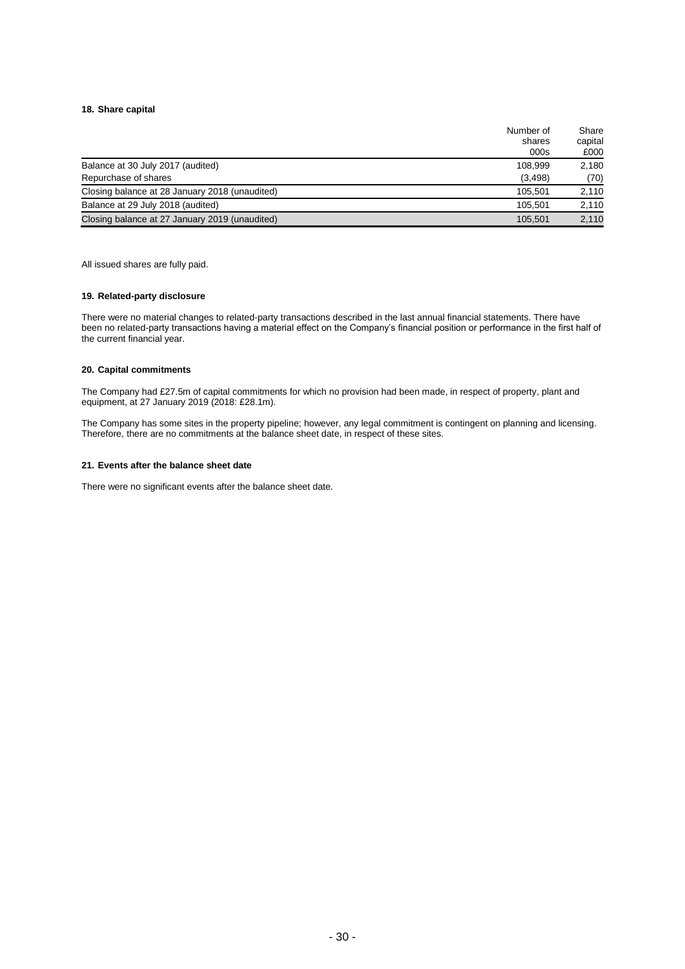#### **18. Share capital**

|                                                | Number of | Share<br>capital |
|------------------------------------------------|-----------|------------------|
|                                                | shares    |                  |
|                                                | 000s      | £000             |
| Balance at 30 July 2017 (audited)              | 108.999   | 2,180            |
| Repurchase of shares                           | (3, 498)  | (70)             |
| Closing balance at 28 January 2018 (unaudited) | 105.501   | 2,110            |
| Balance at 29 July 2018 (audited)              | 105.501   | 2.110            |
| Closing balance at 27 January 2019 (unaudited) | 105.501   | 2,110            |

All issued shares are fully paid.

## **19. Related-party disclosure**

There were no material changes to related-party transactions described in the last annual financial statements. There have been no related-party transactions having a material effect on the Company's financial position or performance in the first half of the current financial year.

# **20. Capital commitments**

The Company had £27.5m of capital commitments for which no provision had been made, in respect of property, plant and equipment, at 27 January 2019 (2018: £28.1m).

The Company has some sites in the property pipeline; however, any legal commitment is contingent on planning and licensing. Therefore, there are no commitments at the balance sheet date, in respect of these sites.

#### **21. Events after the balance sheet date**

There were no significant events after the balance sheet date.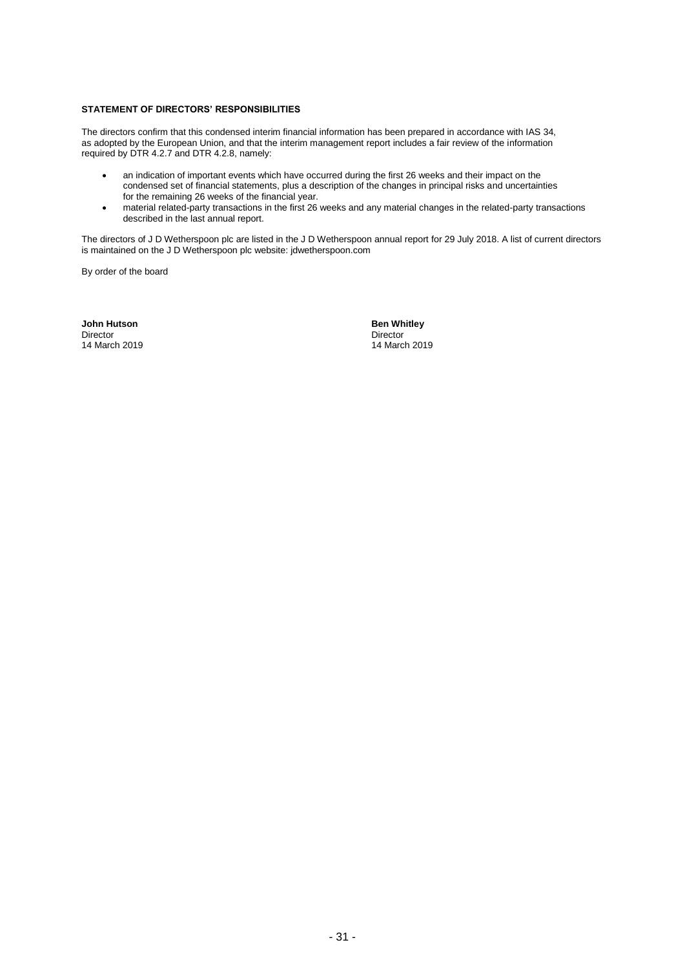# **STATEMENT OF DIRECTORS' RESPONSIBILITIES**

The directors confirm that this condensed interim financial information has been prepared in accordance with IAS 34, as adopted by the European Union, and that the interim management report includes a fair review of the information required by DTR 4.2.7 and DTR 4.2.8, namely:

- an indication of important events which have occurred during the first 26 weeks and their impact on the condensed set of financial statements, plus a description of the changes in principal risks and uncertainties for the remaining 26 weeks of the financial year.
- material related-party transactions in the first 26 weeks and any material changes in the related-party transactions described in the last annual report.

The directors of J D Wetherspoon plc are listed in the J D Wetherspoon annual report for 29 July 2018. A list of current directors is maintained on the J D Wetherspoon plc website: jdwetherspoon.com

By order of the board

**John Hutson**<br> **Ben Whitley**<br> **Director**<br> **Director** Director Director

14 March 2019 14 March 2019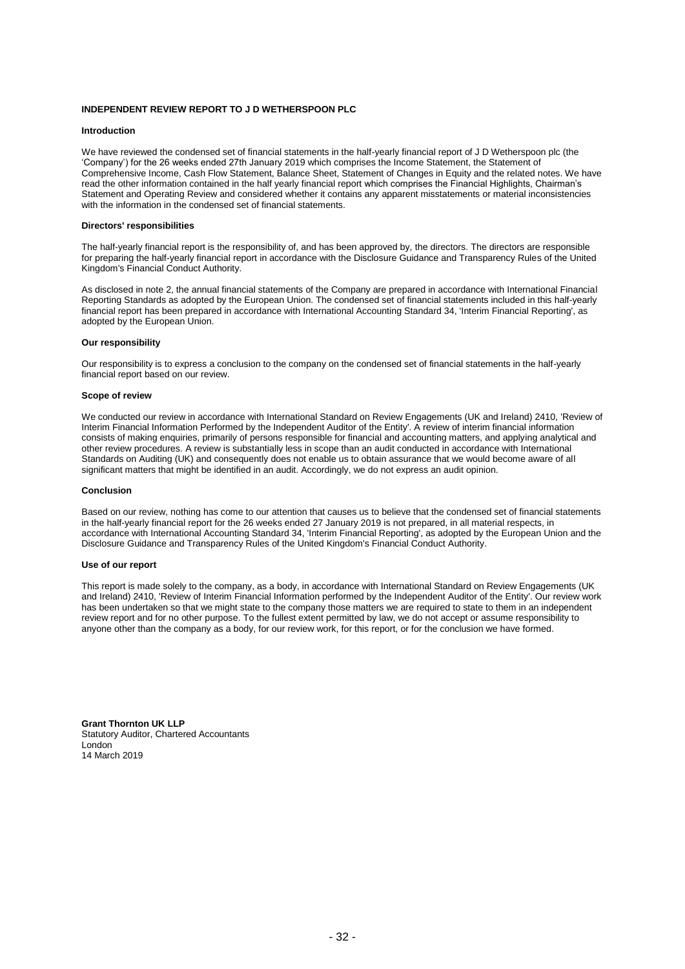## **INDEPENDENT REVIEW REPORT TO J D WETHERSPOON PLC**

#### **Introduction**

We have reviewed the condensed set of financial statements in the half-yearly financial report of J D Wetherspoon plc (the 'Company') for the 26 weeks ended 27th January 2019 which comprises the Income Statement, the Statement of Comprehensive Income, Cash Flow Statement, Balance Sheet, Statement of Changes in Equity and the related notes. We have read the other information contained in the half yearly financial report which comprises the Financial Highlights, Chairman's Statement and Operating Review and considered whether it contains any apparent misstatements or material inconsistencies with the information in the condensed set of financial statements.

#### **Directors' responsibilities**

The half-yearly financial report is the responsibility of, and has been approved by, the directors. The directors are responsible for preparing the half-yearly financial report in accordance with the Disclosure Guidance and Transparency Rules of the United Kingdom's Financial Conduct Authority.

As disclosed in note 2, the annual financial statements of the Company are prepared in accordance with International Financial Reporting Standards as adopted by the European Union. The condensed set of financial statements included in this half-yearly financial report has been prepared in accordance with International Accounting Standard 34, 'Interim Financial Reporting', as adopted by the European Union.

#### **Our responsibility**

Our responsibility is to express a conclusion to the company on the condensed set of financial statements in the half-yearly financial report based on our review.

#### **Scope of review**

We conducted our review in accordance with International Standard on Review Engagements (UK and Ireland) 2410, 'Review of Interim Financial Information Performed by the Independent Auditor of the Entity'. A review of interim financial information consists of making enquiries, primarily of persons responsible for financial and accounting matters, and applying analytical and other review procedures. A review is substantially less in scope than an audit conducted in accordance with International Standards on Auditing (UK) and consequently does not enable us to obtain assurance that we would become aware of all significant matters that might be identified in an audit. Accordingly, we do not express an audit opinion.

#### **Conclusion**

Based on our review, nothing has come to our attention that causes us to believe that the condensed set of financial statements in the half-yearly financial report for the 26 weeks ended 27 January 2019 is not prepared, in all material respects, in accordance with International Accounting Standard 34, 'Interim Financial Reporting', as adopted by the European Union and the Disclosure Guidance and Transparency Rules of the United Kingdom's Financial Conduct Authority.

#### **Use of our report**

This report is made solely to the company, as a body, in accordance with International Standard on Review Engagements (UK and Ireland) 2410, 'Review of Interim Financial Information performed by the Independent Auditor of the Entity'. Our review work has been undertaken so that we might state to the company those matters we are required to state to them in an independent review report and for no other purpose. To the fullest extent permitted by law, we do not accept or assume responsibility to anyone other than the company as a body, for our review work, for this report, or for the conclusion we have formed.

**Grant Thornton UK LLP** Statutory Auditor, Chartered Accountants London 14 March 2019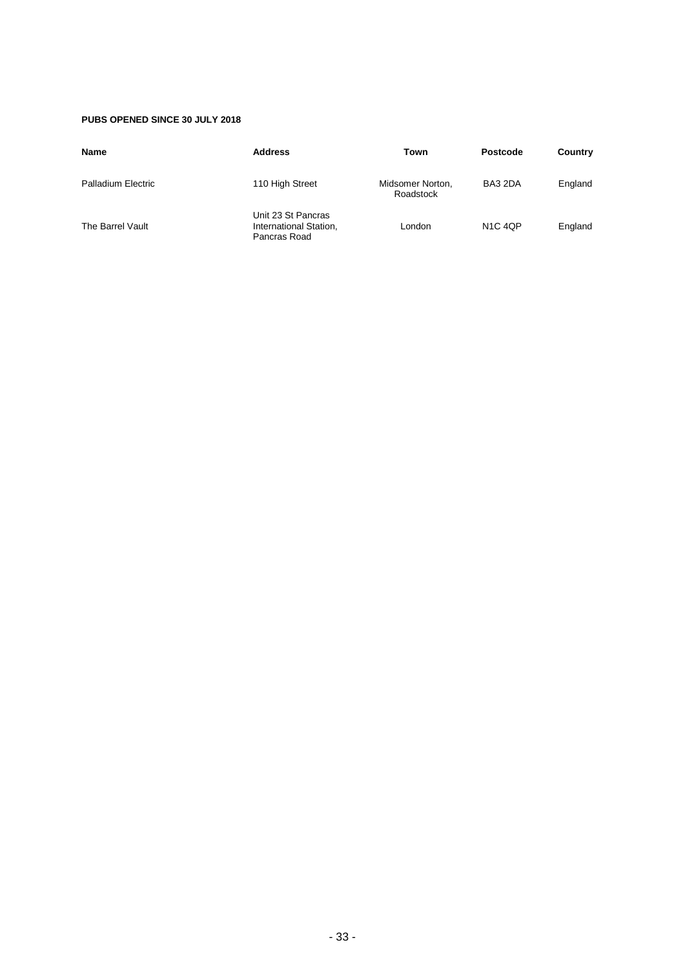# **PUBS OPENED SINCE 30 JULY 2018**

| Name               | <b>Address</b>                                               | Town                          | <b>Postcode</b> | Country |
|--------------------|--------------------------------------------------------------|-------------------------------|-----------------|---------|
| Palladium Electric | 110 High Street                                              | Midsomer Norton,<br>Roadstock | BA3 2DA         | England |
| The Barrel Vault   | Unit 23 St Pancras<br>International Station,<br>Pancras Road | London                        | <b>N1C 4QP</b>  | England |